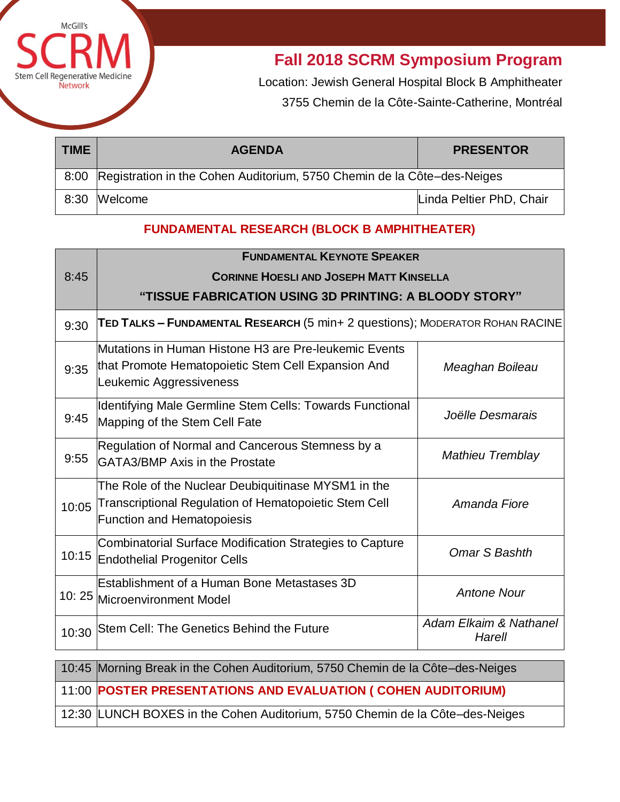

**Fall 2018 SCRM Symposium Program**

Location: Jewish General Hospital Block B Amphitheater 3755 Chemin de la Côte-Sainte-Catherine, Montréal

| <b>TIME</b> | <b>AGENDA</b>                                                                | <b>PRESENTOR</b>         |
|-------------|------------------------------------------------------------------------------|--------------------------|
|             | 8:00 Registration in the Cohen Auditorium, 5750 Chemin de la Côte-des-Neiges |                          |
| 8:30        | Welcome                                                                      | Linda Peltier PhD, Chair |

# **FUNDAMENTAL RESEARCH (BLOCK B AMPHITHEATER)**

|       | <b>FUNDAMENTAL KEYNOTE SPEAKER</b><br><b>CORINNE HOESLI AND JOSEPH MATT KINSELLA</b>                                                                     |                                  |  |
|-------|----------------------------------------------------------------------------------------------------------------------------------------------------------|----------------------------------|--|
| 8:45  |                                                                                                                                                          |                                  |  |
|       | "TISSUE FABRICATION USING 3D PRINTING: A BLOODY STORY"                                                                                                   |                                  |  |
| 9:30  | TED TALKS - FUNDAMENTAL RESEARCH (5 min+ 2 questions); MODERATOR ROHAN RACINE                                                                            |                                  |  |
| 9:35  | Mutations in Human Histone H3 are Pre-leukemic Events<br>that Promote Hematopoietic Stem Cell Expansion And<br>Leukemic Aggressiveness                   | Meaghan Boileau                  |  |
| 9:45  | Identifying Male Germline Stem Cells: Towards Functional<br>Mapping of the Stem Cell Fate                                                                | Joëlle Desmarais                 |  |
| 9:55  | Regulation of Normal and Cancerous Stemness by a<br>GATA3/BMP Axis in the Prostate                                                                       | <b>Mathieu Tremblay</b>          |  |
| 10:05 | The Role of the Nuclear Deubiquitinase MYSM1 in the<br><b>Transcriptional Regulation of Hematopoietic Stem Cell</b><br><b>Function and Hematopoiesis</b> | Amanda Fiore                     |  |
| 10:15 | Combinatorial Surface Modification Strategies to Capture<br><b>Endothelial Progenitor Cells</b>                                                          | Omar S Bashth                    |  |
|       | Establishment of a Human Bone Metastases 3D<br>10: 25 Microenvironment Model                                                                             | <b>Antone Nour</b>               |  |
| 10:30 | Stem Cell: The Genetics Behind the Future                                                                                                                | Adam Elkaim & Nathanel<br>Harell |  |
|       | 10:45 Morning Break in the Cohen Auditorium, 5750 Chemin de la Côte-des-Neiges                                                                           |                                  |  |
|       | 11:00 POSTER PRESENTATIONS AND EVALUATION ( COHEN AUDITORIUM)                                                                                            |                                  |  |

12:30 LUNCH BOXES in the Cohen Auditorium, 5750 Chemin de la Côte–des-Neiges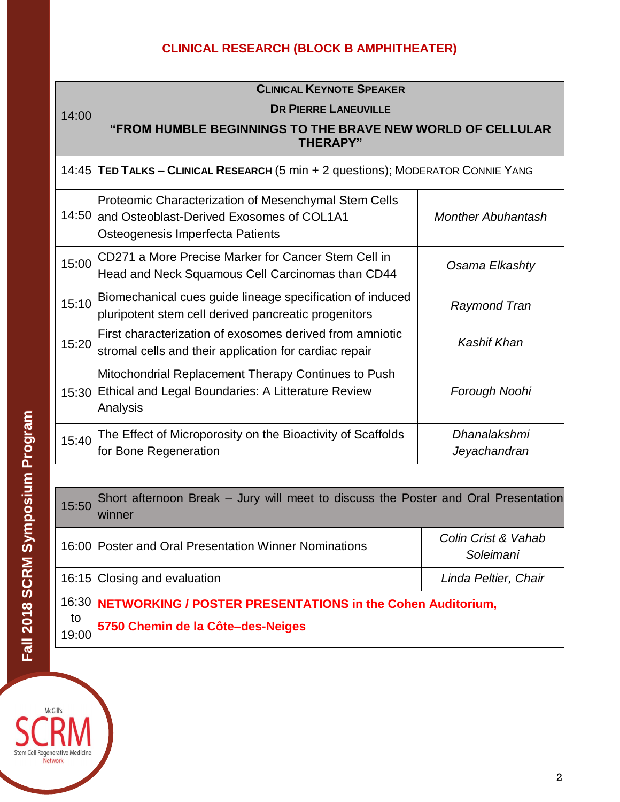# **CLINICAL RESEARCH (BLOCK B AMPHITHEATER)**

|       | <b>CLINICAL KEYNOTE SPEAKER</b>                                                                                                             |                              |  |
|-------|---------------------------------------------------------------------------------------------------------------------------------------------|------------------------------|--|
| 14:00 | <b>DR PIERRE LANEUVILLE</b>                                                                                                                 |                              |  |
|       | "FROM HUMBLE BEGINNINGS TO THE BRAVE NEW WORLD OF CELLULAR<br><b>THERAPY"</b>                                                               |                              |  |
|       | 14:45 TED TALKS - CLINICAL RESEARCH (5 min + 2 questions); MODERATOR CONNIE YANG                                                            |                              |  |
|       | Proteomic Characterization of Mesenchymal Stem Cells<br>14:50 and Osteoblast-Derived Exosomes of COL1A1<br>Osteogenesis Imperfecta Patients | <b>Monther Abuhantash</b>    |  |
| 15:00 | CD271 a More Precise Marker for Cancer Stem Cell in<br>Head and Neck Squamous Cell Carcinomas than CD44                                     | Osama Elkashty               |  |
| 15:10 | Biomechanical cues guide lineage specification of induced<br>pluripotent stem cell derived pancreatic progenitors                           | <b>Raymond Tran</b>          |  |
| 15:20 | First characterization of exosomes derived from amniotic<br>stromal cells and their application for cardiac repair                          | Kashif Khan                  |  |
| 15:30 | Mitochondrial Replacement Therapy Continues to Push<br>Ethical and Legal Boundaries: A Litterature Review<br>Analysis                       | Forough Noohi                |  |
| 15:40 | The Effect of Microporosity on the Bioactivity of Scaffolds<br>for Bone Regeneration                                                        | Dhanalakshmi<br>Jeyachandran |  |

| 15:50       | Short afternoon Break - Jury will meet to discuss the Poster and Oral Presentation<br>winner          |                                  |
|-------------|-------------------------------------------------------------------------------------------------------|----------------------------------|
|             | 16:00 Poster and Oral Presentation Winner Nominations                                                 | Colin Crist & Vahab<br>Soleimani |
|             | 16:15 Closing and evaluation                                                                          | Linda Peltier, Chair             |
| to<br>19:00 | 16:30 NETWORKING / POSTER PRESENTATIONS in the Cohen Auditorium,<br>5750 Chemin de la Côte-des-Neiges |                                  |

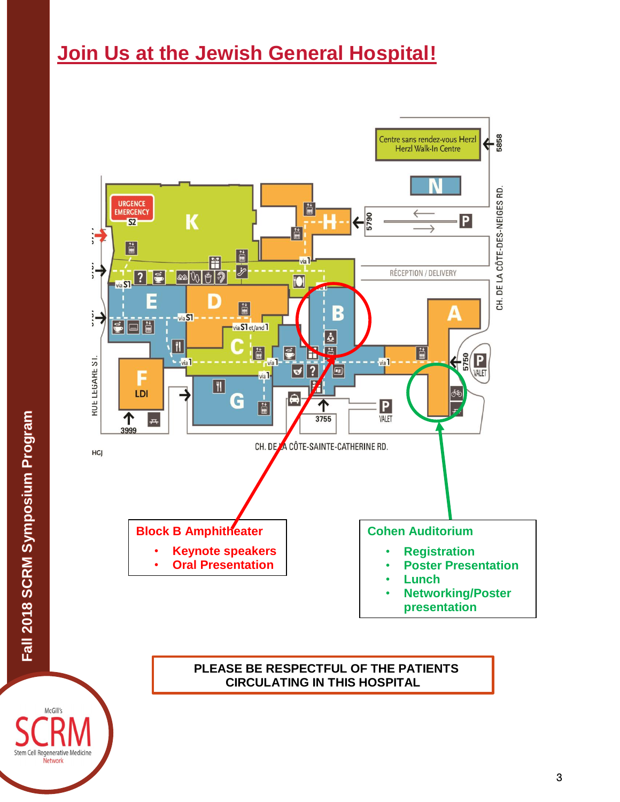# **Join Us at the Jewish General Hospital!**





**CIRCULATING IN THIS HOSPITAL**

McGill's Stem Cell Regenerative Medicine Network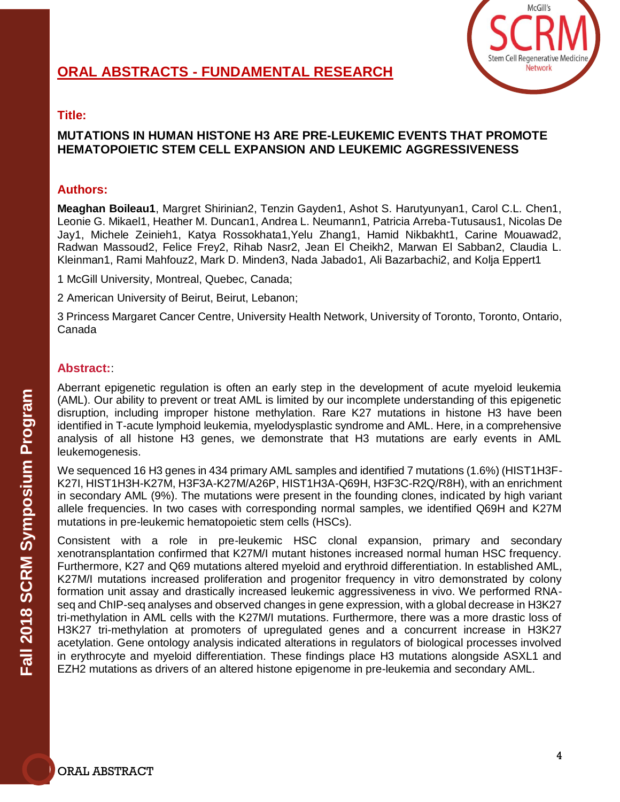

### **MUTATIONS IN HUMAN HISTONE H3 ARE PRE-LEUKEMIC EVENTS THAT PROMOTE HEMATOPOIETIC STEM CELL EXPANSION AND LEUKEMIC AGGRESSIVENESS**

### **Authors:**

**Meaghan Boileau1**, Margret Shirinian2, Tenzin Gayden1, Ashot S. Harutyunyan1, Carol C.L. Chen1, Leonie G. Mikael1, Heather M. Duncan1, Andrea L. Neumann1, Patricia Arreba-Tutusaus1, Nicolas De Jay1, Michele Zeinieh1, Katya Rossokhata1,Yelu Zhang1, Hamid Nikbakht1, Carine Mouawad2, Radwan Massoud2, Felice Frey2, Rihab Nasr2, Jean El Cheikh2, Marwan El Sabban2, Claudia L. Kleinman1, Rami Mahfouz2, Mark D. Minden3, Nada Jabado1, Ali Bazarbachi2, and Kolja Eppert1

1 McGill University, Montreal, Quebec, Canada;

2 American University of Beirut, Beirut, Lebanon;

3 Princess Margaret Cancer Centre, University Health Network, University of Toronto, Toronto, Ontario, Canada

# **Abstract:**:

Aberrant epigenetic regulation is often an early step in the development of acute myeloid leukemia (AML). Our ability to prevent or treat AML is limited by our incomplete understanding of this epigenetic disruption, including improper histone methylation. Rare K27 mutations in histone H3 have been identified in T-acute lymphoid leukemia, myelodysplastic syndrome and AML. Here, in a comprehensive analysis of all histone H3 genes, we demonstrate that H3 mutations are early events in AML leukemogenesis.

We sequenced 16 H3 genes in 434 primary AML samples and identified 7 mutations (1.6%) (HIST1H3F-K27I, HIST1H3H-K27M, H3F3A-K27M/A26P, HIST1H3A-Q69H, H3F3C-R2Q/R8H), with an enrichment in secondary AML (9%). The mutations were present in the founding clones, indicated by high variant allele frequencies. In two cases with corresponding normal samples, we identified Q69H and K27M mutations in pre-leukemic hematopoietic stem cells (HSCs).

Consistent with a role in pre-leukemic HSC clonal expansion, primary and secondary xenotransplantation confirmed that K27M/I mutant histones increased normal human HSC frequency. Furthermore, K27 and Q69 mutations altered myeloid and erythroid differentiation. In established AML, K27M/I mutations increased proliferation and progenitor frequency in vitro demonstrated by colony formation unit assay and drastically increased leukemic aggressiveness in vivo. We performed RNAseq and ChIP-seq analyses and observed changes in gene expression, with a global decrease in H3K27 tri-methylation in AML cells with the K27M/I mutations. Furthermore, there was a more drastic loss of H3K27 tri-methylation at promoters of upregulated genes and a concurrent increase in H3K27 acetylation. Gene ontology analysis indicated alterations in regulators of biological processes involved in erythrocyte and myeloid differentiation. These findings place H3 mutations alongside ASXL1 and EZH2 mutations as drivers of an altered histone epigenome in pre-leukemia and secondary AML.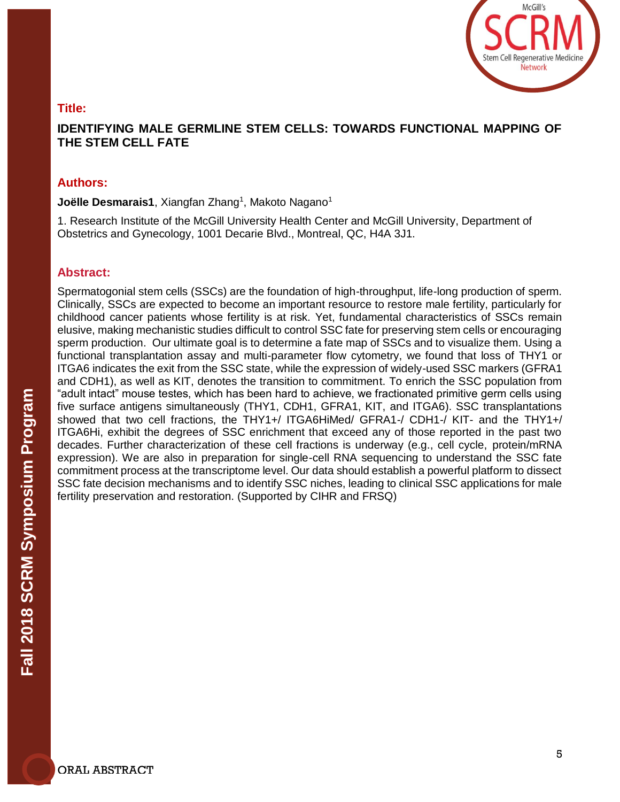

# **IDENTIFYING MALE GERMLINE STEM CELLS: TOWARDS FUNCTIONAL MAPPING OF THE STEM CELL FATE**

#### **Authors:**

**Joëlle Desmarais1**, Xiangfan Zhang<sup>1</sup>, Makoto Nagano<sup>1</sup>

1. Research Institute of the McGill University Health Center and McGill University, Department of Obstetrics and Gynecology, 1001 Decarie Blvd., Montreal, QC, H4A 3J1.

#### **Abstract:**

Spermatogonial stem cells (SSCs) are the foundation of high-throughput, life-long production of sperm. Clinically, SSCs are expected to become an important resource to restore male fertility, particularly for childhood cancer patients whose fertility is at risk. Yet, fundamental characteristics of SSCs remain elusive, making mechanistic studies difficult to control SSC fate for preserving stem cells or encouraging sperm production. Our ultimate goal is to determine a fate map of SSCs and to visualize them. Using a functional transplantation assay and multi-parameter flow cytometry, we found that loss of THY1 or ITGA6 indicates the exit from the SSC state, while the expression of widely-used SSC markers (GFRA1 and CDH1), as well as KIT, denotes the transition to commitment. To enrich the SSC population from "adult intact" mouse testes, which has been hard to achieve, we fractionated primitive germ cells using five surface antigens simultaneously (THY1, CDH1, GFRA1, KIT, and ITGA6). SSC transplantations showed that two cell fractions, the THY1+/ ITGA6HiMed/ GFRA1-/ CDH1-/ KIT- and the THY1+/ ITGA6Hi, exhibit the degrees of SSC enrichment that exceed any of those reported in the past two decades. Further characterization of these cell fractions is underway (e.g., cell cycle, protein/mRNA expression). We are also in preparation for single-cell RNA sequencing to understand the SSC fate commitment process at the transcriptome level. Our data should establish a powerful platform to dissect SSC fate decision mechanisms and to identify SSC niches, leading to clinical SSC applications for male fertility preservation and restoration. (Supported by CIHR and FRSQ)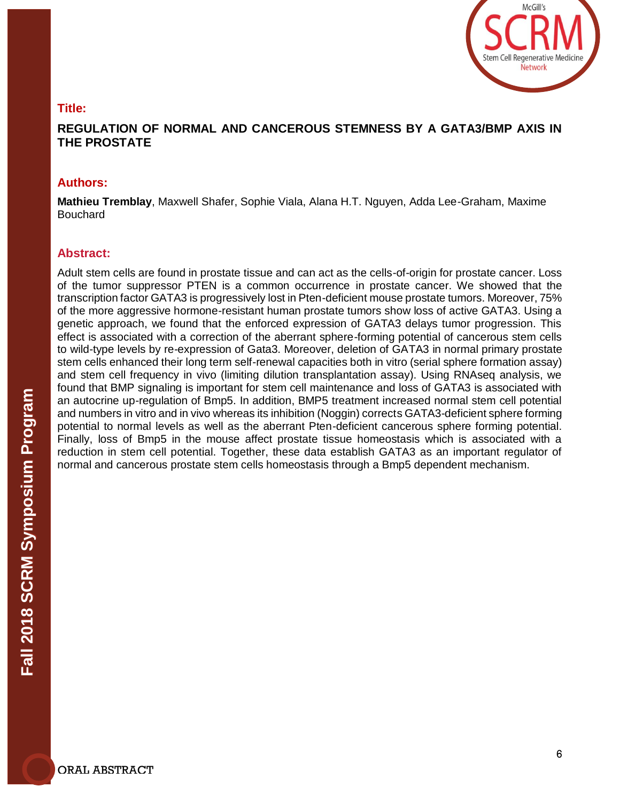

# **REGULATION OF NORMAL AND CANCEROUS STEMNESS BY A GATA3/BMP AXIS IN THE PROSTATE**

#### **Authors:**

**Mathieu Tremblay**, Maxwell Shafer, Sophie Viala, Alana H.T. Nguyen, Adda Lee-Graham, Maxime Bouchard

#### **Abstract:**

Adult stem cells are found in prostate tissue and can act as the cells-of-origin for prostate cancer. Loss of the tumor suppressor PTEN is a common occurrence in prostate cancer. We showed that the transcription factor GATA3 is progressively lost in Pten-deficient mouse prostate tumors. Moreover, 75% of the more aggressive hormone-resistant human prostate tumors show loss of active GATA3. Using a genetic approach, we found that the enforced expression of GATA3 delays tumor progression. This effect is associated with a correction of the aberrant sphere-forming potential of cancerous stem cells to wild-type levels by re-expression of Gata3. Moreover, deletion of GATA3 in normal primary prostate stem cells enhanced their long term self-renewal capacities both in vitro (serial sphere formation assay) and stem cell frequency in vivo (limiting dilution transplantation assay). Using RNAseq analysis, we found that BMP signaling is important for stem cell maintenance and loss of GATA3 is associated with an autocrine up-regulation of Bmp5. In addition, BMP5 treatment increased normal stem cell potential and numbers in vitro and in vivo whereas its inhibition (Noggin) corrects GATA3-deficient sphere forming potential to normal levels as well as the aberrant Pten-deficient cancerous sphere forming potential. Finally, loss of Bmp5 in the mouse affect prostate tissue homeostasis which is associated with a reduction in stem cell potential. Together, these data establish GATA3 as an important regulator of normal and cancerous prostate stem cells homeostasis through a Bmp5 dependent mechanism.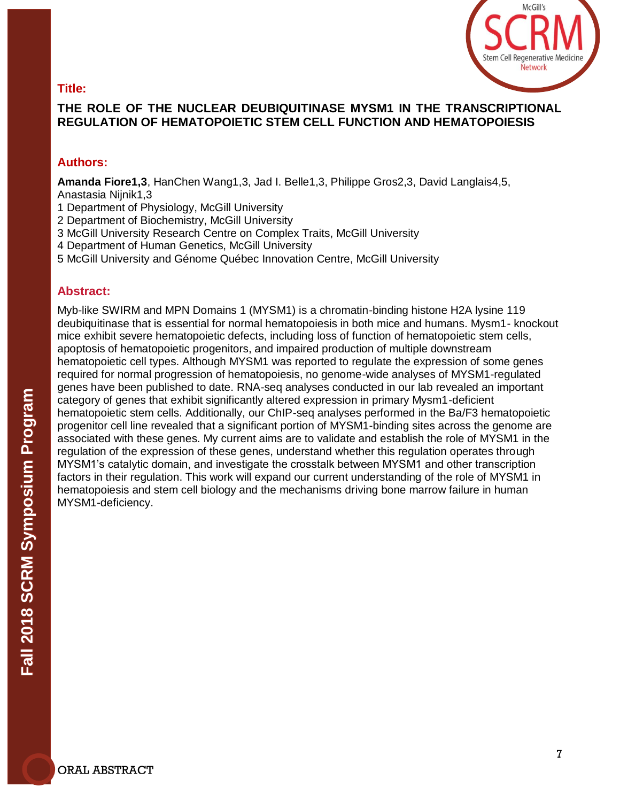

# **THE ROLE OF THE NUCLEAR DEUBIQUITINASE MYSM1 IN THE TRANSCRIPTIONAL REGULATION OF HEMATOPOIETIC STEM CELL FUNCTION AND HEMATOPOIESIS**

# **Authors:**

**Amanda Fiore1,3**, HanChen Wang1,3, Jad I. Belle1,3, Philippe Gros2,3, David Langlais4,5, Anastasia Nijnik1,3

- 1 Department of Physiology, McGill University
- 2 Department of Biochemistry, McGill University
- 3 McGill University Research Centre on Complex Traits, McGill University
- 4 Department of Human Genetics, McGill University
- 5 McGill University and Génome Québec Innovation Centre, McGill University

# **Abstract:**

Myb-like SWIRM and MPN Domains 1 (MYSM1) is a chromatin-binding histone H2A lysine 119 deubiquitinase that is essential for normal hematopoiesis in both mice and humans. Mysm1- knockout mice exhibit severe hematopoietic defects, including loss of function of hematopoietic stem cells, apoptosis of hematopoietic progenitors, and impaired production of multiple downstream hematopoietic cell types. Although MYSM1 was reported to regulate the expression of some genes required for normal progression of hematopoiesis, no genome-wide analyses of MYSM1-regulated genes have been published to date. RNA-seq analyses conducted in our lab revealed an important category of genes that exhibit significantly altered expression in primary Mysm1-deficient hematopoietic stem cells. Additionally, our ChIP-seq analyses performed in the Ba/F3 hematopoietic progenitor cell line revealed that a significant portion of MYSM1-binding sites across the genome are associated with these genes. My current aims are to validate and establish the role of MYSM1 in the regulation of the expression of these genes, understand whether this regulation operates through MYSM1's catalytic domain, and investigate the crosstalk between MYSM1 and other transcription factors in their regulation. This work will expand our current understanding of the role of MYSM1 in hematopoiesis and stem cell biology and the mechanisms driving bone marrow failure in human MYSM1-deficiency.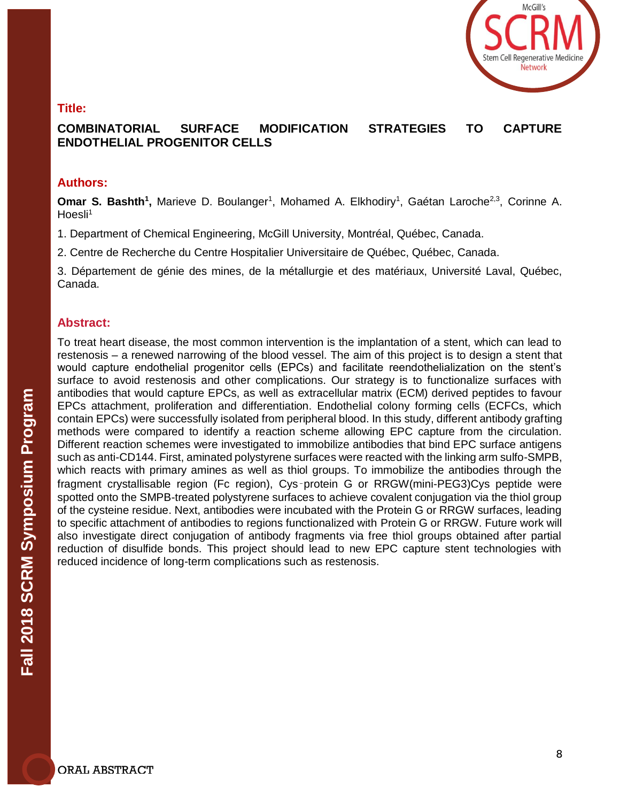

# **COMBINATORIAL SURFACE MODIFICATION STRATEGIES TO CAPTURE ENDOTHELIAL PROGENITOR CELLS**

#### **Authors:**

**Omar S. Bashth<sup>1</sup>, Marieve D. Boulanger<sup>1</sup>, Mohamed A. Elkhodiry<sup>1</sup>, Gaétan Laroche<sup>2,3</sup>, Corinne A.**  $Hoesli<sup>1</sup>$ 

1. Department of Chemical Engineering, McGill University, Montréal, Québec, Canada.

2. Centre de Recherche du Centre Hospitalier Universitaire de Québec, Québec, Canada.

3. Département de génie des mines, de la métallurgie et des matériaux, Université Laval, Québec, Canada.

#### **Abstract:**

To treat heart disease, the most common intervention is the implantation of a stent, which can lead to restenosis – a renewed narrowing of the blood vessel. The aim of this project is to design a stent that would capture endothelial progenitor cells (EPCs) and facilitate reendothelialization on the stent's surface to avoid restenosis and other complications. Our strategy is to functionalize surfaces with antibodies that would capture EPCs, as well as extracellular matrix (ECM) derived peptides to favour EPCs attachment, proliferation and differentiation. Endothelial colony forming cells (ECFCs, which contain EPCs) were successfully isolated from peripheral blood. In this study, different antibody grafting methods were compared to identify a reaction scheme allowing EPC capture from the circulation. Different reaction schemes were investigated to immobilize antibodies that bind EPC surface antigens such as anti-CD144. First, aminated polystyrene surfaces were reacted with the linking arm sulfo-SMPB, which reacts with primary amines as well as thiol groups. To immobilize the antibodies through the fragment crystallisable region (Fc region), Cys‑protein G or RRGW(mini-PEG3)Cys peptide were spotted onto the SMPB-treated polystyrene surfaces to achieve covalent conjugation via the thiol group of the cysteine residue. Next, antibodies were incubated with the Protein G or RRGW surfaces, leading to specific attachment of antibodies to regions functionalized with Protein G or RRGW. Future work will also investigate direct conjugation of antibody fragments via free thiol groups obtained after partial reduction of disulfide bonds. This project should lead to new EPC capture stent technologies with reduced incidence of long-term complications such as restenosis.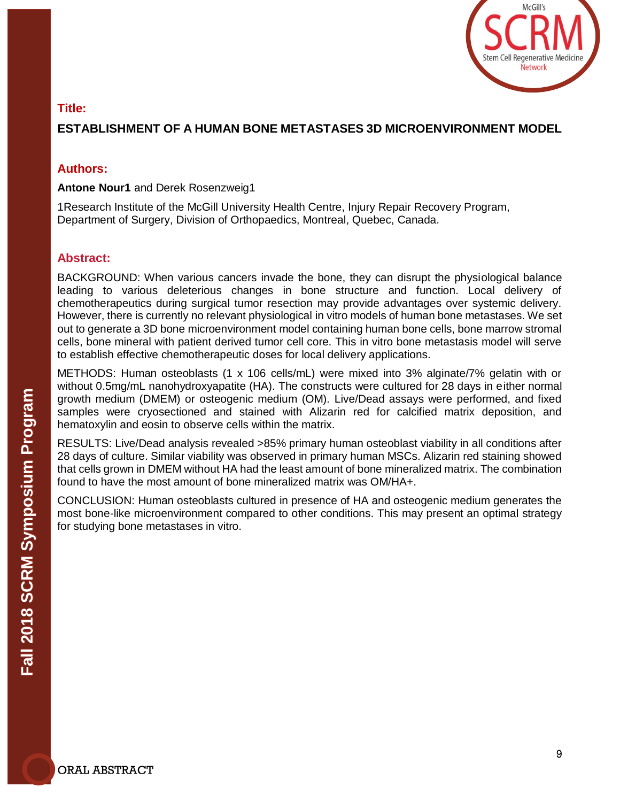

# **ESTABLISHMENT OF A HUMAN BONE METASTASES 3D MICROENVIRONMENT MODEL**

### **Authors:**

**Antone Nour1** and Derek Rosenzweig1

1Research Institute of the McGill University Health Centre, Injury Repair Recovery Program, Department of Surgery, Division of Orthopaedics, Montreal, Quebec, Canada.

#### **Abstract:**

BACKGROUND: When various cancers invade the bone, they can disrupt the physiological balance leading to various deleterious changes in bone structure and function. Local delivery of chemotherapeutics during surgical tumor resection may provide advantages over systemic delivery. However, there is currently no relevant physiological in vitro models of human bone metastases. We set out to generate a 3D bone microenvironment model containing human bone cells, bone marrow stromal cells, bone mineral with patient derived tumor cell core. This in vitro bone metastasis model will serve to establish effective chemotherapeutic doses for local delivery applications.

METHODS: Human osteoblasts (1 x 106 cells/mL) were mixed into 3% alginate/7% gelatin with or without 0.5mg/mL nanohydroxyapatite (HA). The constructs were cultured for 28 days in either normal growth medium (DMEM) or osteogenic medium (OM). Live/Dead assays were performed, and fixed samples were cryosectioned and stained with Alizarin red for calcified matrix deposition, and hematoxylin and eosin to observe cells within the matrix.

RESULTS: Live/Dead analysis revealed >85% primary human osteoblast viability in all conditions after 28 days of culture. Similar viability was observed in primary human MSCs. Alizarin red staining showed that cells grown in DMEM without HA had the least amount of bone mineralized matrix. The combination found to have the most amount of bone mineralized matrix was OM/HA+.

CONCLUSION: Human osteoblasts cultured in presence of HA and osteogenic medium generates the most bone-like microenvironment compared to other conditions. This may present an optimal strategy for studying bone metastases in vitro.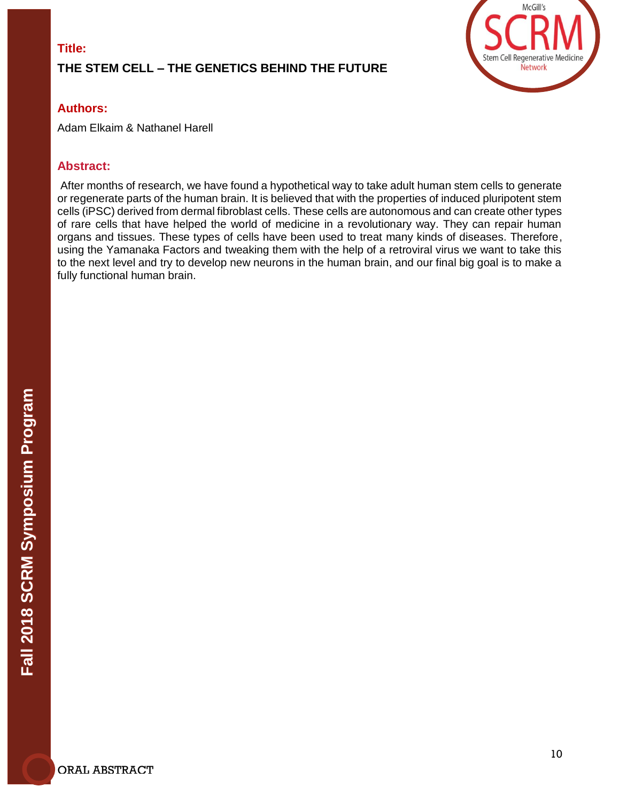# **THE STEM CELL – THE GENETICS BEHIND THE FUTURE**



# **Authors:**

Adam Elkaim & Nathanel Harell

# **Abstract:**

After months of research, we have found a hypothetical way to take adult human stem cells to generate or regenerate parts of the human brain. It is believed that with the properties of induced pluripotent stem cells (iPSC) derived from dermal fibroblast cells. These cells are autonomous and can create other types of rare cells that have helped the world of medicine in a revolutionary way. They can repair human organs and tissues. These types of cells have been used to treat many kinds of diseases. Therefore, using the Yamanaka Factors and tweaking them with the help of a retroviral virus we want to take this to the next level and try to develop new neurons in the human brain, and our final big goal is to make a fully functional human brain.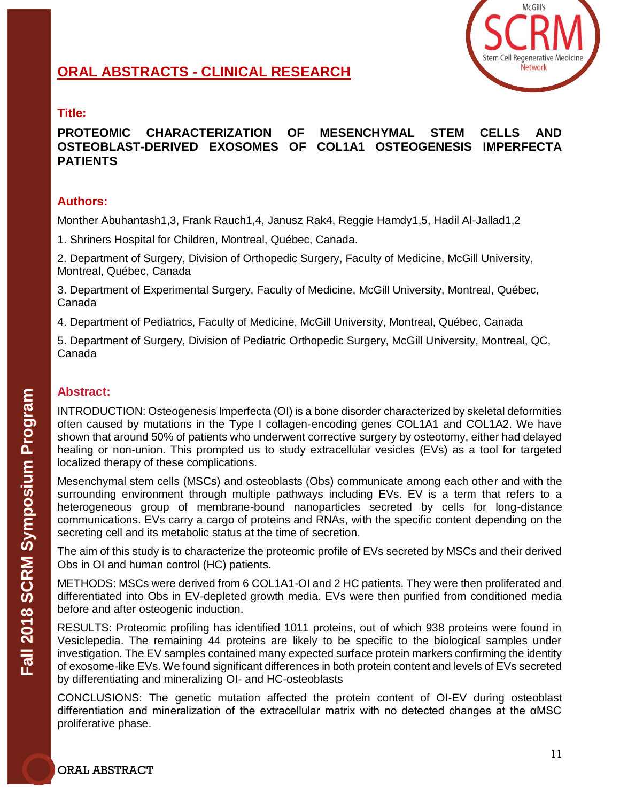

# **ORAL ABSTRACTS - CLINICAL RESEARCH**

# **Title:**

#### **PROTEOMIC CHARACTERIZATION OF MESENCHYMAL STEM CELLS AND OSTEOBLAST-DERIVED EXOSOMES OF COL1A1 OSTEOGENESIS IMPERFECTA PATIENTS**

#### **Authors:**

Monther Abuhantash1,3, Frank Rauch1,4, Janusz Rak4, Reggie Hamdy1,5, Hadil Al-Jallad1,2

1. Shriners Hospital for Children, Montreal, Québec, Canada.

2. Department of Surgery, Division of Orthopedic Surgery, Faculty of Medicine, McGill University, Montreal, Québec, Canada

3. Department of Experimental Surgery, Faculty of Medicine, McGill University, Montreal, Québec, Canada

4. Department of Pediatrics, Faculty of Medicine, McGill University, Montreal, Québec, Canada

5. Department of Surgery, Division of Pediatric Orthopedic Surgery, McGill University, Montreal, QC, Canada

#### **Abstract:**

INTRODUCTION: Osteogenesis Imperfecta (OI) is a bone disorder characterized by skeletal deformities often caused by mutations in the Type I collagen-encoding genes COL1A1 and COL1A2. We have shown that around 50% of patients who underwent corrective surgery by osteotomy, either had delayed healing or non-union. This prompted us to study extracellular vesicles (EVs) as a tool for targeted localized therapy of these complications.

Mesenchymal stem cells (MSCs) and osteoblasts (Obs) communicate among each other and with the surrounding environment through multiple pathways including EVs. EV is a term that refers to a heterogeneous group of membrane-bound nanoparticles secreted by cells for long-distance communications. EVs carry a cargo of proteins and RNAs, with the specific content depending on the secreting cell and its metabolic status at the time of secretion.

The aim of this study is to characterize the proteomic profile of EVs secreted by MSCs and their derived Obs in OI and human control (HC) patients.

METHODS: MSCs were derived from 6 COL1A1-OI and 2 HC patients. They were then proliferated and differentiated into Obs in EV-depleted growth media. EVs were then purified from conditioned media before and after osteogenic induction.

RESULTS: Proteomic profiling has identified 1011 proteins, out of which 938 proteins were found in Vesiclepedia. The remaining 44 proteins are likely to be specific to the biological samples under investigation. The EV samples contained many expected surface protein markers confirming the identity of exosome-like EVs. We found significant differences in both protein content and levels of EVs secreted by differentiating and mineralizing OI- and HC-osteoblasts

CONCLUSIONS: The genetic mutation affected the protein content of OI-EV during osteoblast differentiation and mineralization of the extracellular matrix with no detected changes at the αMSC proliferative phase.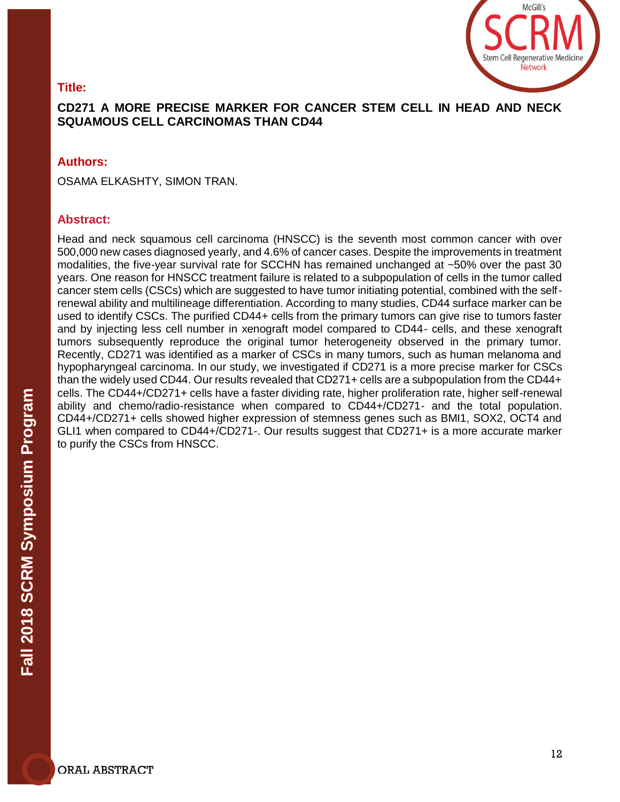# McGill's Stem Cell Regenerative Medicine **Network**

# **Title:**

# **CD271 A MORE PRECISE MARKER FOR CANCER STEM CELL IN HEAD AND NECK SQUAMOUS CELL CARCINOMAS THAN CD44**

### **Authors:**

OSAMA ELKASHTY, SIMON TRAN.

#### **Abstract:**

Head and neck squamous cell carcinoma (HNSCC) is the seventh most common cancer with over 500,000 new cases diagnosed yearly, and 4.6% of cancer cases. Despite the improvements in treatment modalities, the five-year survival rate for SCCHN has remained unchanged at ~50% over the past 30 years. One reason for HNSCC treatment failure is related to a subpopulation of cells in the tumor called cancer stem cells (CSCs) which are suggested to have tumor initiating potential, combined with the selfrenewal ability and multilineage differentiation. According to many studies, CD44 surface marker can be used to identify CSCs. The purified CD44+ cells from the primary tumors can give rise to tumors faster and by injecting less cell number in xenograft model compared to CD44- cells, and these xenograft tumors subsequently reproduce the original tumor heterogeneity observed in the primary tumor. Recently, CD271 was identified as a marker of CSCs in many tumors, such as human melanoma and hypopharyngeal carcinoma. In our study, we investigated if CD271 is a more precise marker for CSCs than the widely used CD44. Our results revealed that CD271+ cells are a subpopulation from the CD44+ cells. The CD44+/CD271+ cells have a faster dividing rate, higher proliferation rate, higher self-renewal ability and chemo/radio-resistance when compared to CD44+/CD271- and the total population. CD44+/CD271+ cells showed higher expression of stemness genes such as BMI1, SOX2, OCT4 and GLI1 when compared to CD44+/CD271-. Our results suggest that CD271+ is a more accurate marker to purify the CSCs from HNSCC.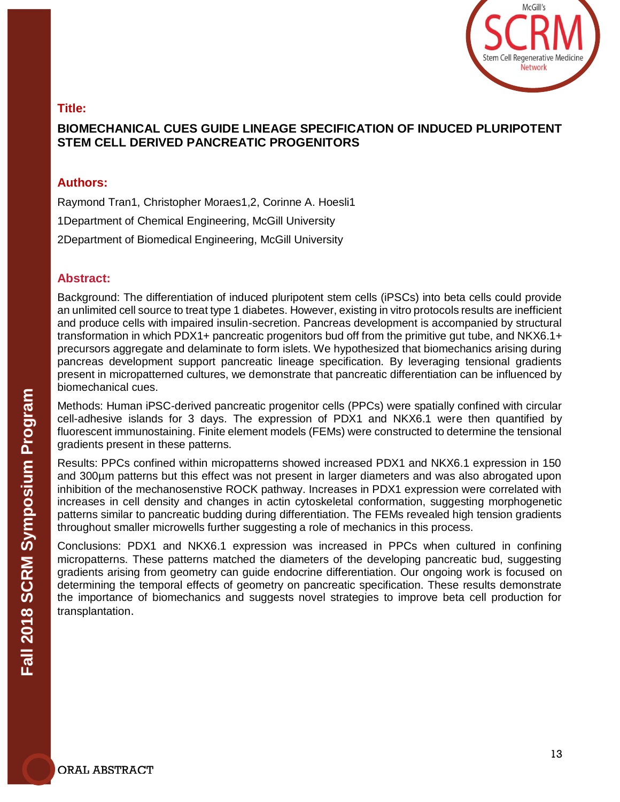

# **BIOMECHANICAL CUES GUIDE LINEAGE SPECIFICATION OF INDUCED PLURIPOTENT STEM CELL DERIVED PANCREATIC PROGENITORS**

#### **Authors:**

Raymond Tran1, Christopher Moraes1,2, Corinne A. Hoesli1

1Department of Chemical Engineering, McGill University

2Department of Biomedical Engineering, McGill University

#### **Abstract:**

Background: The differentiation of induced pluripotent stem cells (iPSCs) into beta cells could provide an unlimited cell source to treat type 1 diabetes. However, existing in vitro protocols results are inefficient and produce cells with impaired insulin-secretion. Pancreas development is accompanied by structural transformation in which PDX1+ pancreatic progenitors bud off from the primitive gut tube, and NKX6.1+ precursors aggregate and delaminate to form islets. We hypothesized that biomechanics arising during pancreas development support pancreatic lineage specification. By leveraging tensional gradients present in micropatterned cultures, we demonstrate that pancreatic differentiation can be influenced by biomechanical cues.

Methods: Human iPSC-derived pancreatic progenitor cells (PPCs) were spatially confined with circular cell-adhesive islands for 3 days. The expression of PDX1 and NKX6.1 were then quantified by fluorescent immunostaining. Finite element models (FEMs) were constructed to determine the tensional gradients present in these patterns.

Results: PPCs confined within micropatterns showed increased PDX1 and NKX6.1 expression in 150 and 300µm patterns but this effect was not present in larger diameters and was also abrogated upon inhibition of the mechanosenstive ROCK pathway. Increases in PDX1 expression were correlated with increases in cell density and changes in actin cytoskeletal conformation, suggesting morphogenetic patterns similar to pancreatic budding during differentiation. The FEMs revealed high tension gradients throughout smaller microwells further suggesting a role of mechanics in this process.

Conclusions: PDX1 and NKX6.1 expression was increased in PPCs when cultured in confining micropatterns. These patterns matched the diameters of the developing pancreatic bud, suggesting gradients arising from geometry can guide endocrine differentiation. Our ongoing work is focused on determining the temporal effects of geometry on pancreatic specification. These results demonstrate the importance of biomechanics and suggests novel strategies to improve beta cell production for transplantation.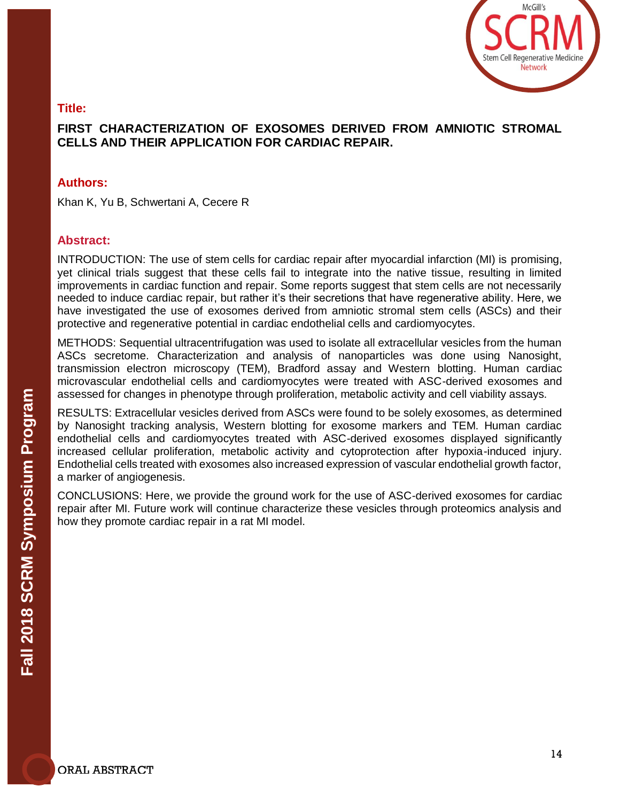

# **FIRST CHARACTERIZATION OF EXOSOMES DERIVED FROM AMNIOTIC STROMAL CELLS AND THEIR APPLICATION FOR CARDIAC REPAIR.**

#### **Authors:**

Khan K, Yu B, Schwertani A, Cecere R

#### **Abstract:**

INTRODUCTION: The use of stem cells for cardiac repair after myocardial infarction (MI) is promising, yet clinical trials suggest that these cells fail to integrate into the native tissue, resulting in limited improvements in cardiac function and repair. Some reports suggest that stem cells are not necessarily needed to induce cardiac repair, but rather it's their secretions that have regenerative ability. Here, we have investigated the use of exosomes derived from amniotic stromal stem cells (ASCs) and their protective and regenerative potential in cardiac endothelial cells and cardiomyocytes.

METHODS: Sequential ultracentrifugation was used to isolate all extracellular vesicles from the human ASCs secretome. Characterization and analysis of nanoparticles was done using Nanosight, transmission electron microscopy (TEM), Bradford assay and Western blotting. Human cardiac microvascular endothelial cells and cardiomyocytes were treated with ASC-derived exosomes and assessed for changes in phenotype through proliferation, metabolic activity and cell viability assays.

RESULTS: Extracellular vesicles derived from ASCs were found to be solely exosomes, as determined by Nanosight tracking analysis, Western blotting for exosome markers and TEM. Human cardiac endothelial cells and cardiomyocytes treated with ASC-derived exosomes displayed significantly increased cellular proliferation, metabolic activity and cytoprotection after hypoxia-induced injury. Endothelial cells treated with exosomes also increased expression of vascular endothelial growth factor, a marker of angiogenesis.

CONCLUSIONS: Here, we provide the ground work for the use of ASC-derived exosomes for cardiac repair after MI. Future work will continue characterize these vesicles through proteomics analysis and how they promote cardiac repair in a rat MI model.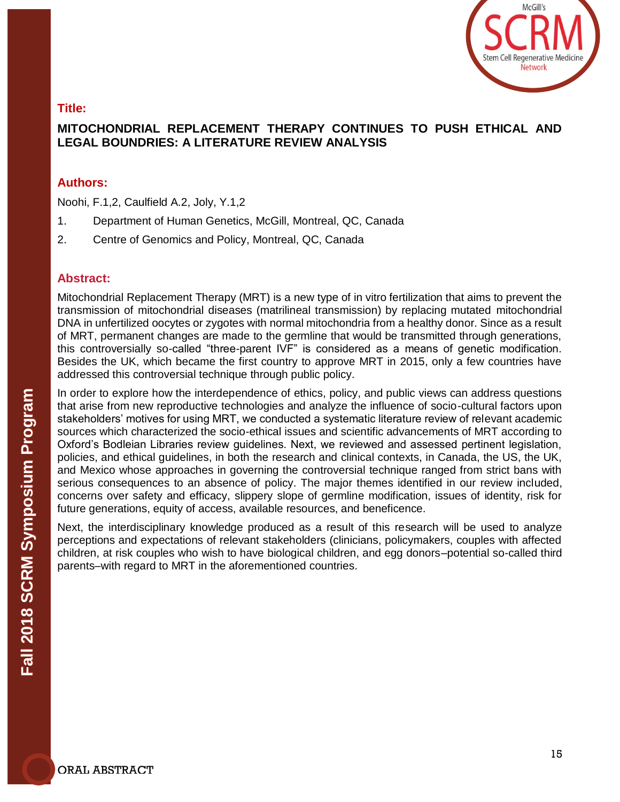

# **MITOCHONDRIAL REPLACEMENT THERAPY CONTINUES TO PUSH ETHICAL AND LEGAL BOUNDRIES: A LITERATURE REVIEW ANALYSIS**

#### **Authors:**

Noohi, F.1,2, Caulfield A.2, Joly, Y.1,2

- 1. Department of Human Genetics, McGill, Montreal, QC, Canada
- 2. Centre of Genomics and Policy, Montreal, QC, Canada

#### **Abstract:**

Mitochondrial Replacement Therapy (MRT) is a new type of in vitro fertilization that aims to prevent the transmission of mitochondrial diseases (matrilineal transmission) by replacing mutated mitochondrial DNA in unfertilized oocytes or zygotes with normal mitochondria from a healthy donor. Since as a result of MRT, permanent changes are made to the germline that would be transmitted through generations, this controversially so-called "three-parent IVF" is considered as a means of genetic modification. Besides the UK, which became the first country to approve MRT in 2015, only a few countries have addressed this controversial technique through public policy.

In order to explore how the interdependence of ethics, policy, and public views can address questions that arise from new reproductive technologies and analyze the influence of socio-cultural factors upon stakeholders' motives for using MRT, we conducted a systematic literature review of relevant academic sources which characterized the socio-ethical issues and scientific advancements of MRT according to Oxford's Bodleian Libraries review guidelines. Next, we reviewed and assessed pertinent legislation, policies, and ethical guidelines, in both the research and clinical contexts, in Canada, the US, the UK, and Mexico whose approaches in governing the controversial technique ranged from strict bans with serious consequences to an absence of policy. The major themes identified in our review included, concerns over safety and efficacy, slippery slope of germline modification, issues of identity, risk for future generations, equity of access, available resources, and beneficence.

Next, the interdisciplinary knowledge produced as a result of this research will be used to analyze perceptions and expectations of relevant stakeholders (clinicians, policymakers, couples with affected children, at risk couples who wish to have biological children, and egg donors–potential so-called third parents–with regard to MRT in the aforementioned countries.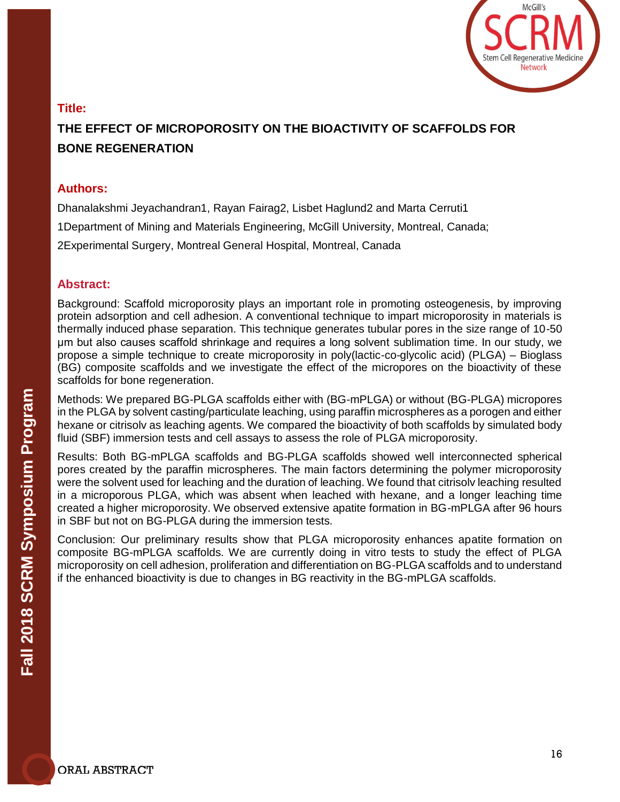

# **THE EFFECT OF MICROPOROSITY ON THE BIOACTIVITY OF SCAFFOLDS FOR BONE REGENERATION**

#### **Authors:**

Dhanalakshmi Jeyachandran1, Rayan Fairag2, Lisbet Haglund2 and Marta Cerruti1 1Department of Mining and Materials Engineering, McGill University, Montreal, Canada; 2Experimental Surgery, Montreal General Hospital, Montreal, Canada

#### **Abstract:**

Background: Scaffold microporosity plays an important role in promoting osteogenesis, by improving protein adsorption and cell adhesion. A conventional technique to impart microporosity in materials is thermally induced phase separation. This technique generates tubular pores in the size range of 10-50 μm but also causes scaffold shrinkage and requires a long solvent sublimation time. In our study, we propose a simple technique to create microporosity in poly(lactic-co-glycolic acid) (PLGA) – Bioglass (BG) composite scaffolds and we investigate the effect of the micropores on the bioactivity of these scaffolds for bone regeneration.

Methods: We prepared BG-PLGA scaffolds either with (BG-mPLGA) or without (BG-PLGA) micropores in the PLGA by solvent casting/particulate leaching, using paraffin microspheres as a porogen and either hexane or citrisolv as leaching agents. We compared the bioactivity of both scaffolds by simulated body fluid (SBF) immersion tests and cell assays to assess the role of PLGA microporosity.

Results: Both BG-mPLGA scaffolds and BG-PLGA scaffolds showed well interconnected spherical pores created by the paraffin microspheres. The main factors determining the polymer microporosity were the solvent used for leaching and the duration of leaching. We found that citrisolv leaching resulted in a microporous PLGA, which was absent when leached with hexane, and a longer leaching time created a higher microporosity. We observed extensive apatite formation in BG-mPLGA after 96 hours in SBF but not on BG-PLGA during the immersion tests.

Conclusion: Our preliminary results show that PLGA microporosity enhances apatite formation on composite BG-mPLGA scaffolds. We are currently doing in vitro tests to study the effect of PLGA microporosity on cell adhesion, proliferation and differentiation on BG-PLGA scaffolds and to understand if the enhanced bioactivity is due to changes in BG reactivity in the BG-mPLGA scaffolds.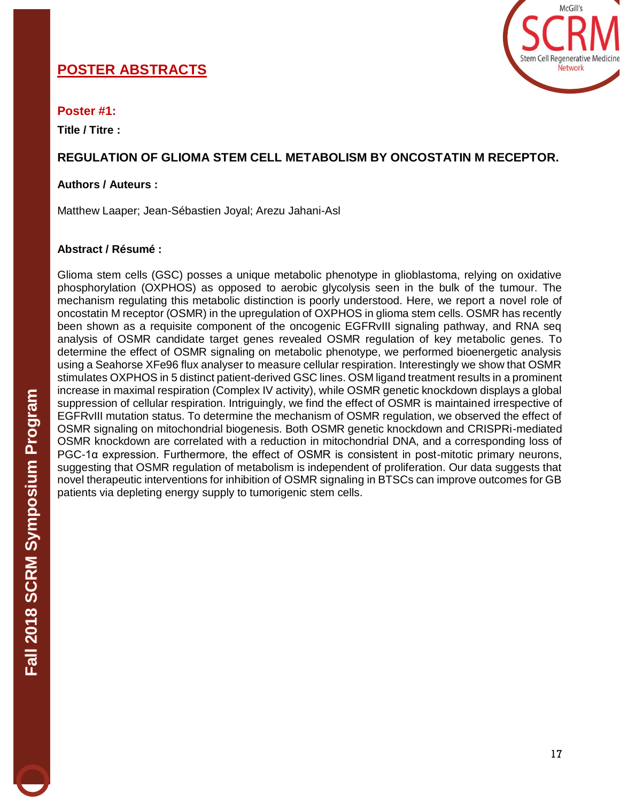# **POSTER ABSTRACTS**



#### **Poster #1:**

**Title / Titre :** 

# **REGULATION OF GLIOMA STEM CELL METABOLISM BY ONCOSTATIN M RECEPTOR.**

#### **Authors / Auteurs :**

Matthew Laaper; Jean-Sébastien Joyal; Arezu Jahani-Asl

#### **Abstract / Résumé :**

Glioma stem cells (GSC) posses a unique metabolic phenotype in glioblastoma, relying on oxidative phosphorylation (OXPHOS) as opposed to aerobic glycolysis seen in the bulk of the tumour. The mechanism regulating this metabolic distinction is poorly understood. Here, we report a novel role of oncostatin M receptor (OSMR) in the upregulation of OXPHOS in glioma stem cells. OSMR has recently been shown as a requisite component of the oncogenic EGFRvIII signaling pathway, and RNA seq analysis of OSMR candidate target genes revealed OSMR regulation of key metabolic genes. To determine the effect of OSMR signaling on metabolic phenotype, we performed bioenergetic analysis using a Seahorse XFe96 flux analyser to measure cellular respiration. Interestingly we show that OSMR stimulates OXPHOS in 5 distinct patient-derived GSC lines. OSM ligand treatment results in a prominent increase in maximal respiration (Complex IV activity), while OSMR genetic knockdown displays a global suppression of cellular respiration. Intriguingly, we find the effect of OSMR is maintained irrespective of EGFRvIII mutation status. To determine the mechanism of OSMR regulation, we observed the effect of OSMR signaling on mitochondrial biogenesis. Both OSMR genetic knockdown and CRISPRi-mediated OSMR knockdown are correlated with a reduction in mitochondrial DNA, and a corresponding loss of PGC-1α expression. Furthermore, the effect of OSMR is consistent in post-mitotic primary neurons, suggesting that OSMR regulation of metabolism is independent of proliferation. Our data suggests that novel therapeutic interventions for inhibition of OSMR signaling in BTSCs can improve outcomes for GB patients via depleting energy supply to tumorigenic stem cells.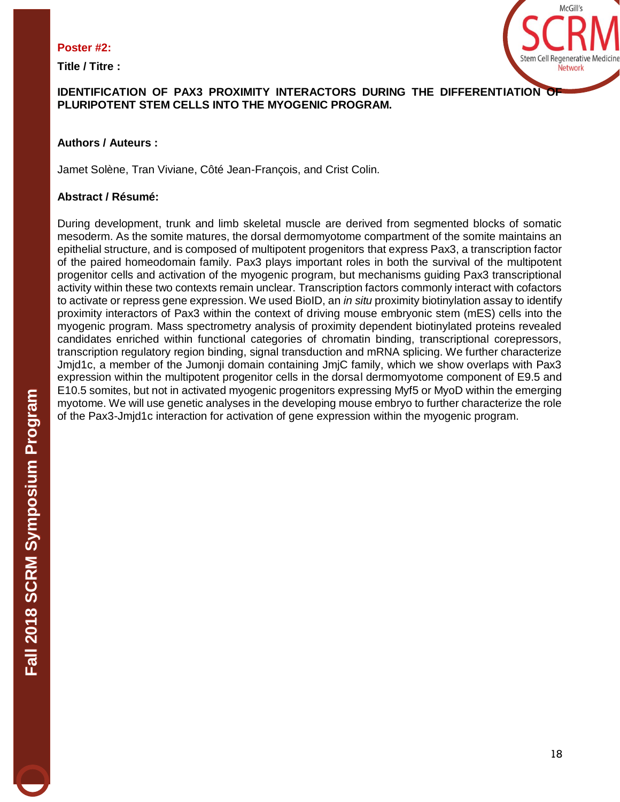#### **Poster #2:**

**Title / Titre :**



# **IDENTIFICATION OF PAX3 PROXIMITY INTERACTORS DURING THE DIFFERENTIATION OF PLURIPOTENT STEM CELLS INTO THE MYOGENIC PROGRAM.**

# **Authors / Auteurs :**

Jamet Solène, Tran Viviane, Côté Jean-François, and Crist Colin.

# **Abstract / Résumé:**

During development, trunk and limb skeletal muscle are derived from segmented blocks of somatic mesoderm. As the somite matures, the dorsal dermomyotome compartment of the somite maintains an epithelial structure, and is composed of multipotent progenitors that express Pax3, a transcription factor of the paired homeodomain family. Pax3 plays important roles in both the survival of the multipotent progenitor cells and activation of the myogenic program, but mechanisms guiding Pax3 transcriptional activity within these two contexts remain unclear. Transcription factors commonly interact with cofactors to activate or repress gene expression. We used BioID, an *in situ* proximity biotinylation assay to identify proximity interactors of Pax3 within the context of driving mouse embryonic stem (mES) cells into the myogenic program. Mass spectrometry analysis of proximity dependent biotinylated proteins revealed candidates enriched within functional categories of chromatin binding, transcriptional corepressors, transcription regulatory region binding, signal transduction and mRNA splicing. We further characterize Jmjd1c, a member of the Jumonji domain containing JmjC family, which we show overlaps with Pax3 expression within the multipotent progenitor cells in the dorsal dermomyotome component of E9.5 and E10.5 somites, but not in activated myogenic progenitors expressing Myf5 or MyoD within the emerging myotome. We will use genetic analyses in the developing mouse embryo to further characterize the role of the Pax3-Jmjd1c interaction for activation of gene expression within the myogenic program.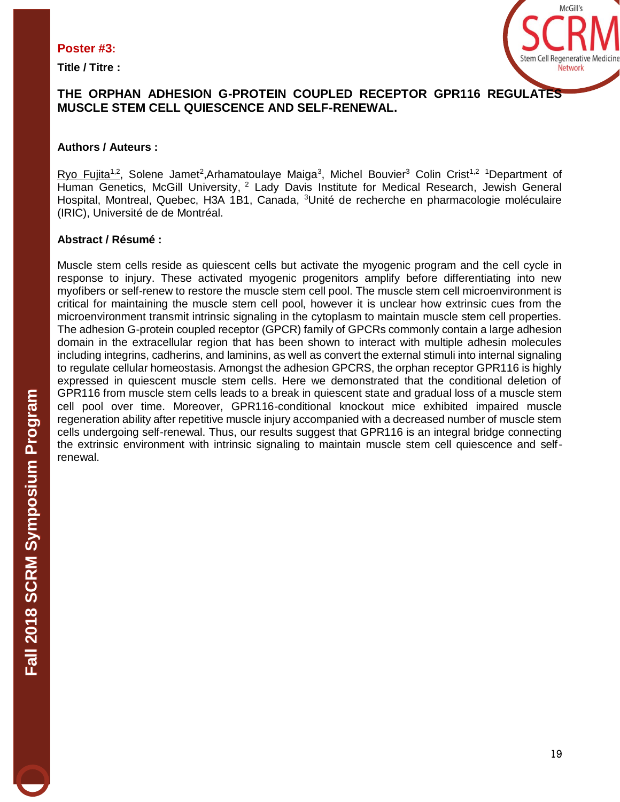#### **Poster #3:**

**Title / Titre :**



# **THE ORPHAN ADHESION G-PROTEIN COUPLED RECEPTOR GPR116 REGULATES MUSCLE STEM CELL QUIESCENCE AND SELF-RENEWAL.**

# **Authors / Auteurs :**

Ryo Fujita<sup>1,2</sup>, Solene Jamet<sup>2</sup>,Arhamatoulaye Maiga<sup>3</sup>, Michel Bouvier<sup>3</sup> Colin Crist<sup>1,2</sup> <sup>1</sup>Department of Human Genetics, McGill University, <sup>2</sup> Lady Davis Institute for Medical Research, Jewish General Hospital, Montreal, Quebec, H3A 1B1, Canada, <sup>3</sup>Unité de recherche en pharmacologie moléculaire (IRIC), Université de de Montréal.

# **Abstract / Résumé :**

Muscle stem cells reside as quiescent cells but activate the myogenic program and the cell cycle in response to injury. These activated myogenic progenitors amplify before differentiating into new myofibers or self-renew to restore the muscle stem cell pool. The muscle stem cell microenvironment is critical for maintaining the muscle stem cell pool, however it is unclear how extrinsic cues from the microenvironment transmit intrinsic signaling in the cytoplasm to maintain muscle stem cell properties. The adhesion G-protein coupled receptor (GPCR) family of GPCRs commonly contain a large adhesion domain in the extracellular region that has been shown to interact with multiple adhesin molecules including integrins, cadherins, and laminins, as well as convert the external stimuli into internal signaling to regulate cellular homeostasis. Amongst the adhesion GPCRS, the orphan receptor GPR116 is highly expressed in quiescent muscle stem cells. Here we demonstrated that the conditional deletion of GPR116 from muscle stem cells leads to a break in quiescent state and gradual loss of a muscle stem cell pool over time. Moreover, GPR116-conditional knockout mice exhibited impaired muscle regeneration ability after repetitive muscle injury accompanied with a decreased number of muscle stem cells undergoing self-renewal. Thus, our results suggest that GPR116 is an integral bridge connecting the extrinsic environment with intrinsic signaling to maintain muscle stem cell quiescence and selfrenewal.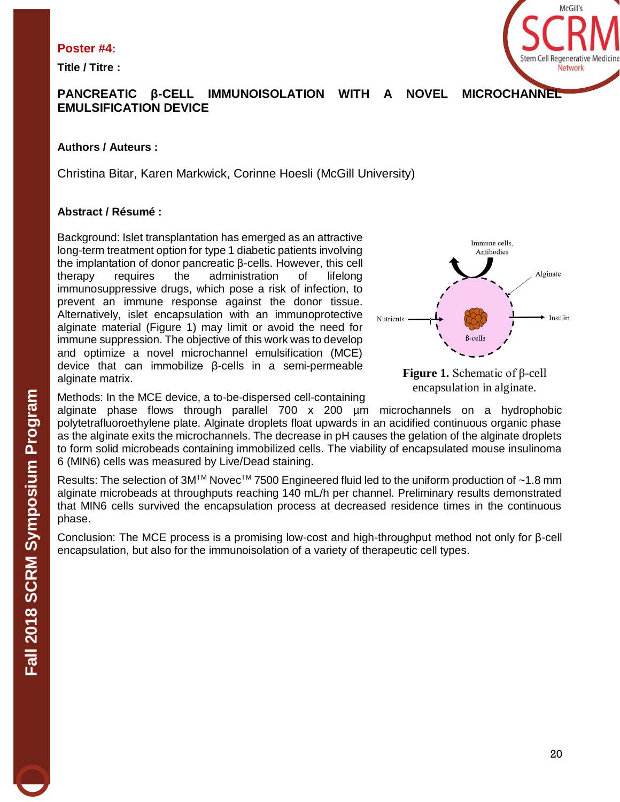#### **Poster #4:**

**Title / Titre :**



# **PANCREATIC β-CELL IMMUNOISOLATION WITH A NOVEL MICROCHANNEL EMULSIFICATION DEVICE**

# **Authors / Auteurs :**

Christina Bitar, Karen Markwick, Corinne Hoesli (McGill University)

# **Abstract / Résumé :**

Background: Islet transplantation has emerged as an attractive long-term treatment option for type 1 diabetic patients involving the implantation of donor pancreatic β-cells. However, this cell therapy requires the administration of lifelong immunosuppressive drugs, which pose a risk of infection, to prevent an immune response against the donor tissue. Alternatively, islet encapsulation with an immunoprotective alginate material (Figure 1) may limit or avoid the need for immune suppression. The objective of this work was to develop and optimize a novel microchannel emulsification (MCE) device that can immobilize β-cells in a semi-permeable alginate matrix.





Methods: In the MCE device, a to-be-dispersed cell-containing

alginate phase flows through parallel 700 x 200 µm microchannels on a hydrophobic polytetrafluoroethylene plate. Alginate droplets float upwards in an acidified continuous organic phase as the alginate exits the microchannels. The decrease in pH causes the gelation of the alginate droplets to form solid microbeads containing immobilized cells. The viability of encapsulated mouse insulinoma 6 (MIN6) cells was measured by Live/Dead staining.

Results: The selection of  $3M^{TM}$  Novec<sup>TM</sup> 7500 Engineered fluid led to the uniform production of ~1.8 mm alginate microbeads at throughputs reaching 140 mL/h per channel. Preliminary results demonstrated that MIN6 cells survived the encapsulation process at decreased residence times in the continuous phase.

Conclusion: The MCE process is a promising low-cost and high-throughput method not only for β-cell encapsulation, but also for the immunoisolation of a variety of therapeutic cell types.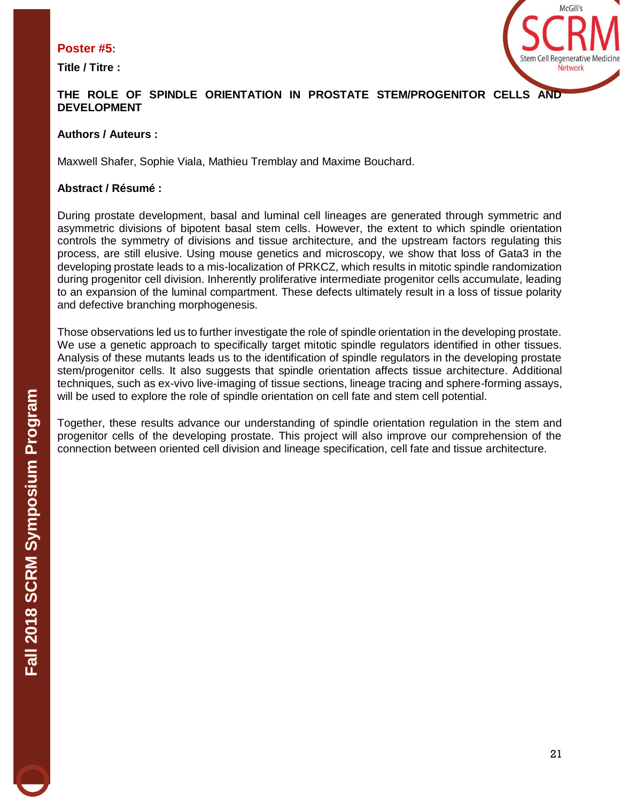# **Poster #5:**

**Title / Titre :**



# **THE ROLE OF SPINDLE ORIENTATION IN PROSTATE STEM/PROGENITOR CELLS AND DEVELOPMENT**

#### **Authors / Auteurs :**

Maxwell Shafer, Sophie Viala, Mathieu Tremblay and Maxime Bouchard.

#### **Abstract / Résumé :**

During prostate development, basal and luminal cell lineages are generated through symmetric and asymmetric divisions of bipotent basal stem cells. However, the extent to which spindle orientation controls the symmetry of divisions and tissue architecture, and the upstream factors regulating this process, are still elusive. Using mouse genetics and microscopy, we show that loss of Gata3 in the developing prostate leads to a mis-localization of PRKCZ, which results in mitotic spindle randomization during progenitor cell division. Inherently proliferative intermediate progenitor cells accumulate, leading to an expansion of the luminal compartment. These defects ultimately result in a loss of tissue polarity and defective branching morphogenesis.

Those observations led us to further investigate the role of spindle orientation in the developing prostate. We use a genetic approach to specifically target mitotic spindle regulators identified in other tissues. Analysis of these mutants leads us to the identification of spindle regulators in the developing prostate stem/progenitor cells. It also suggests that spindle orientation affects tissue architecture. Additional techniques, such as ex-vivo live-imaging of tissue sections, lineage tracing and sphere-forming assays, will be used to explore the role of spindle orientation on cell fate and stem cell potential.

Together, these results advance our understanding of spindle orientation regulation in the stem and progenitor cells of the developing prostate. This project will also improve our comprehension of the connection between oriented cell division and lineage specification, cell fate and tissue architecture.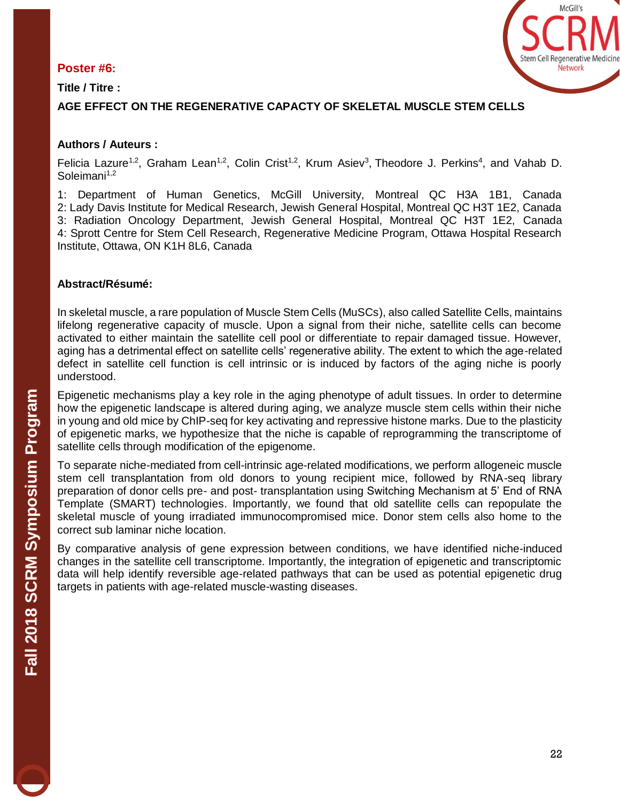# **Poster #6:**

**Title / Titre :** 



# **AGE EFFECT ON THE REGENERATIVE CAPACTY OF SKELETAL MUSCLE STEM CELLS**

# **Authors / Auteurs :**

Felicia Lazure<sup>1,2</sup>, Graham Lean<sup>1,2</sup>, Colin Crist<sup>1,2</sup>, Krum Asiev<sup>3</sup>, Theodore J. Perkins<sup>4</sup>, and Vahab D. Soleimani<sup>1,2</sup>

1: Department of Human Genetics, McGill University, Montreal QC H3A 1B1, Canada 2: Lady Davis Institute for Medical Research, Jewish General Hospital, Montreal QC H3T 1E2, Canada 3: Radiation Oncology Department, Jewish General Hospital, Montreal QC H3T 1E2, Canada 4: Sprott Centre for Stem Cell Research, Regenerative Medicine Program, Ottawa Hospital Research Institute, Ottawa, ON K1H 8L6, Canada

#### **Abstract/Résumé:**

In skeletal muscle, a rare population of Muscle Stem Cells (MuSCs), also called Satellite Cells, maintains lifelong regenerative capacity of muscle. Upon a signal from their niche, satellite cells can become activated to either maintain the satellite cell pool or differentiate to repair damaged tissue. However, aging has a detrimental effect on satellite cells' regenerative ability. The extent to which the age-related defect in satellite cell function is cell intrinsic or is induced by factors of the aging niche is poorly understood.

Epigenetic mechanisms play a key role in the aging phenotype of adult tissues. In order to determine how the epigenetic landscape is altered during aging, we analyze muscle stem cells within their niche in young and old mice by ChIP-seq for key activating and repressive histone marks. Due to the plasticity of epigenetic marks, we hypothesize that the niche is capable of reprogramming the transcriptome of satellite cells through modification of the epigenome.

To separate niche-mediated from cell-intrinsic age-related modifications, we perform allogeneic muscle stem cell transplantation from old donors to young recipient mice, followed by RNA-seq library preparation of donor cells pre- and post- transplantation using Switching Mechanism at 5' End of RNA Template (SMART) technologies. Importantly, we found that old satellite cells can repopulate the skeletal muscle of young irradiated immunocompromised mice. Donor stem cells also home to the correct sub laminar niche location.

By comparative analysis of gene expression between conditions, we have identified niche-induced changes in the satellite cell transcriptome. Importantly, the integration of epigenetic and transcriptomic data will help identify reversible age-related pathways that can be used as potential epigenetic drug targets in patients with age-related muscle-wasting diseases.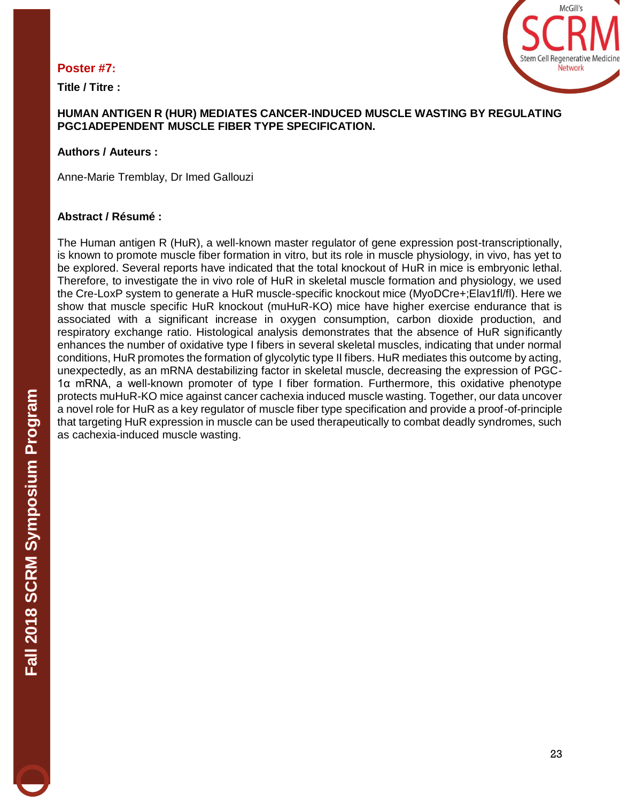#### **Poster #7:**

**Title / Titre :** 



#### **HUMAN ANTIGEN R (HUR) MEDIATES CANCER-INDUCED MUSCLE WASTING BY REGULATING PGC1ADEPENDENT MUSCLE FIBER TYPE SPECIFICATION.**

#### **Authors / Auteurs :**

Anne-Marie Tremblay, Dr Imed Gallouzi

#### **Abstract / Résumé :**

The Human antigen R (HuR), a well-known master regulator of gene expression post-transcriptionally, is known to promote muscle fiber formation in vitro, but its role in muscle physiology, in vivo, has yet to be explored. Several reports have indicated that the total knockout of HuR in mice is embryonic lethal. Therefore, to investigate the in vivo role of HuR in skeletal muscle formation and physiology, we used the Cre-LoxP system to generate a HuR muscle-specific knockout mice (MyoDCre+;Elav1fl/fl). Here we show that muscle specific HuR knockout (muHuR-KO) mice have higher exercise endurance that is associated with a significant increase in oxygen consumption, carbon dioxide production, and respiratory exchange ratio. Histological analysis demonstrates that the absence of HuR significantly enhances the number of oxidative type I fibers in several skeletal muscles, indicating that under normal conditions, HuR promotes the formation of glycolytic type II fibers. HuR mediates this outcome by acting, unexpectedly, as an mRNA destabilizing factor in skeletal muscle, decreasing the expression of PGC-1α mRNA, a well-known promoter of type I fiber formation. Furthermore, this oxidative phenotype protects muHuR-KO mice against cancer cachexia induced muscle wasting. Together, our data uncover a novel role for HuR as a key regulator of muscle fiber type specification and provide a proof-of-principle that targeting HuR expression in muscle can be used therapeutically to combat deadly syndromes, such as cachexia-induced muscle wasting.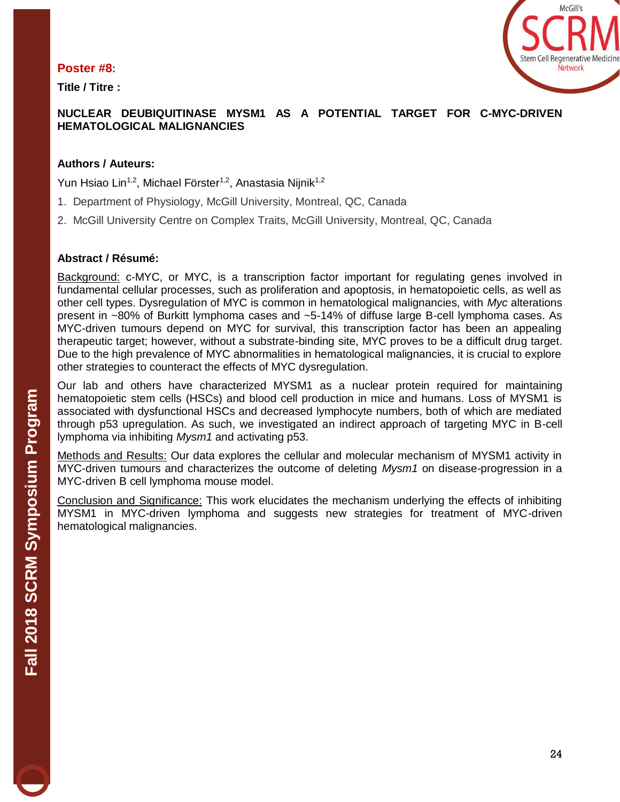#### **Poster #8:**

**Title / Titre :**



# **NUCLEAR DEUBIQUITINASE MYSM1 AS A POTENTIAL TARGET FOR C-MYC-DRIVEN HEMATOLOGICAL MALIGNANCIES**

#### **Authors / Auteurs:**

Yun Hsiao Lin<sup>1,2</sup>, Michael Förster<sup>1,2</sup>, Anastasia Nijnik<sup>1,2</sup>

- 1. Department of Physiology, McGill University, Montreal, QC, Canada
- 2. McGill University Centre on Complex Traits, McGill University, Montreal, QC, Canada

#### **Abstract / Résumé:**

Background: c-MYC, or MYC, is a transcription factor important for regulating genes involved in fundamental cellular processes, such as proliferation and apoptosis, in hematopoietic cells, as well as other cell types. Dysregulation of MYC is common in hematological malignancies, with *Myc* alterations present in ~80% of Burkitt lymphoma cases and ~5-14% of diffuse large B-cell lymphoma cases. As MYC-driven tumours depend on MYC for survival, this transcription factor has been an appealing therapeutic target; however, without a substrate-binding site, MYC proves to be a difficult drug target. Due to the high prevalence of MYC abnormalities in hematological malignancies, it is crucial to explore other strategies to counteract the effects of MYC dysregulation.

Our lab and others have characterized MYSM1 as a nuclear protein required for maintaining hematopoietic stem cells (HSCs) and blood cell production in mice and humans. Loss of MYSM1 is associated with dysfunctional HSCs and decreased lymphocyte numbers, both of which are mediated through p53 upregulation. As such, we investigated an indirect approach of targeting MYC in B-cell lymphoma via inhibiting *Mysm1* and activating p53.

Methods and Results: Our data explores the cellular and molecular mechanism of MYSM1 activity in MYC-driven tumours and characterizes the outcome of deleting *Mysm1* on disease-progression in a MYC-driven B cell lymphoma mouse model.

Conclusion and Significance: This work elucidates the mechanism underlying the effects of inhibiting MYSM1 in MYC-driven lymphoma and suggests new strategies for treatment of MYC-driven hematological malignancies.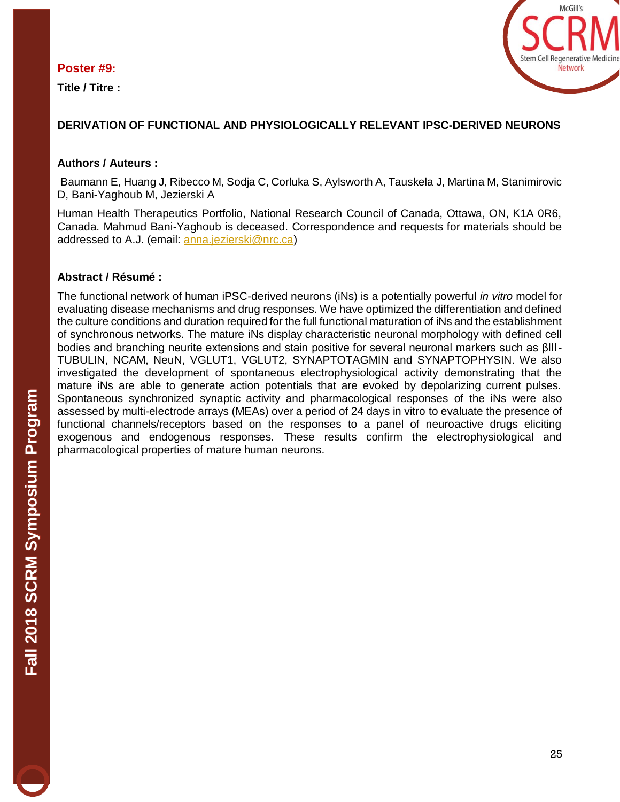#### **Poster #9:**

**Title / Titre :** 



# **DERIVATION OF FUNCTIONAL AND PHYSIOLOGICALLY RELEVANT IPSC-DERIVED NEURONS**

#### **Authors / Auteurs :**

Baumann E, Huang J, Ribecco M, Sodja C, Corluka S, Aylsworth A, Tauskela J, Martina M, Stanimirovic D, Bani-Yaghoub M, Jezierski A

Human Health Therapeutics Portfolio, National Research Council of Canada, Ottawa, ON, K1A 0R6, Canada. Mahmud Bani-Yaghoub is deceased. Correspondence and requests for materials should be addressed to A.J. (email: [anna.jezierski@nrc.ca\)](mailto:anna.jezierski@nrc.ca)

#### **Abstract / Résumé :**

The functional network of human iPSC-derived neurons (iNs) is a potentially powerful *in vitro* model for evaluating disease mechanisms and drug responses. We have optimized the differentiation and defined the culture conditions and duration required for the full functional maturation of iNs and the establishment of synchronous networks. The mature iNs display characteristic neuronal morphology with defined cell bodies and branching neurite extensions and stain positive for several neuronal markers such as βIII-TUBULIN, NCAM, NeuN, VGLUT1, VGLUT2, SYNAPTOTAGMIN and SYNAPTOPHYSIN. We also investigated the development of spontaneous electrophysiological activity demonstrating that the mature iNs are able to generate action potentials that are evoked by depolarizing current pulses. Spontaneous synchronized synaptic activity and pharmacological responses of the iNs were also assessed by multi-electrode arrays (MEAs) over a period of 24 days in vitro to evaluate the presence of functional channels/receptors based on the responses to a panel of neuroactive drugs eliciting exogenous and endogenous responses. These results confirm the electrophysiological and pharmacological properties of mature human neurons.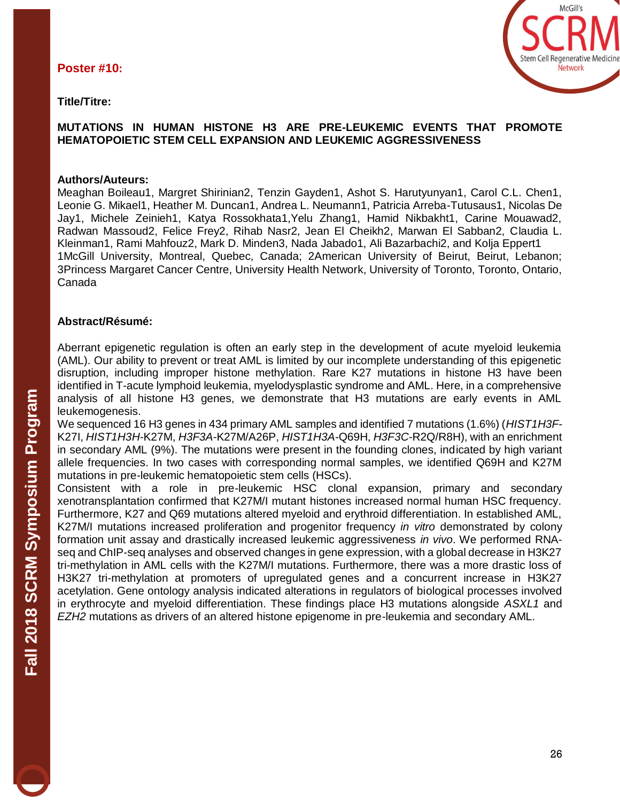**Title/Titre:** 



#### **MUTATIONS IN HUMAN HISTONE H3 ARE PRE-LEUKEMIC EVENTS THAT PROMOTE HEMATOPOIETIC STEM CELL EXPANSION AND LEUKEMIC AGGRESSIVENESS**

#### **Authors/Auteurs:**

Meaghan Boileau1, Margret Shirinian2, Tenzin Gayden1, Ashot S. Harutyunyan1, Carol C.L. Chen1, Leonie G. Mikael1, Heather M. Duncan1, Andrea L. Neumann1, Patricia Arreba-Tutusaus1, Nicolas De Jay1, Michele Zeinieh1, Katya Rossokhata1,Yelu Zhang1, Hamid Nikbakht1, Carine Mouawad2, Radwan Massoud2, Felice Frey2, Rihab Nasr2, Jean El Cheikh2, Marwan El Sabban2, Claudia L. Kleinman1, Rami Mahfouz2, Mark D. Minden3, Nada Jabado1, Ali Bazarbachi2, and Kolja Eppert1 1McGill University, Montreal, Quebec, Canada; 2American University of Beirut, Beirut, Lebanon; 3Princess Margaret Cancer Centre, University Health Network, University of Toronto, Toronto, Ontario, Canada

#### **Abstract/Résumé:**

Aberrant epigenetic regulation is often an early step in the development of acute myeloid leukemia (AML). Our ability to prevent or treat AML is limited by our incomplete understanding of this epigenetic disruption, including improper histone methylation. Rare K27 mutations in histone H3 have been identified in T-acute lymphoid leukemia, myelodysplastic syndrome and AML. Here, in a comprehensive analysis of all histone H3 genes, we demonstrate that H3 mutations are early events in AML leukemogenesis.

We sequenced 16 H3 genes in 434 primary AML samples and identified 7 mutations (1.6%) (*HIST1H3F*-K27I, *HIST1H3H*-K27M, *H3F3A*-K27M/A26P, *HIST1H3A*-Q69H, *H3F3C*-R2Q/R8H), with an enrichment in secondary AML (9%). The mutations were present in the founding clones, indicated by high variant allele frequencies. In two cases with corresponding normal samples, we identified Q69H and K27M mutations in pre-leukemic hematopoietic stem cells (HSCs).

Consistent with a role in pre-leukemic HSC clonal expansion, primary and secondary xenotransplantation confirmed that K27M/I mutant histones increased normal human HSC frequency. Furthermore, K27 and Q69 mutations altered myeloid and erythroid differentiation. In established AML, K27M/I mutations increased proliferation and progenitor frequency *in vitro* demonstrated by colony formation unit assay and drastically increased leukemic aggressiveness *in vivo*. We performed RNAseq and ChIP-seq analyses and observed changes in gene expression, with a global decrease in H3K27 tri-methylation in AML cells with the K27M/I mutations. Furthermore, there was a more drastic loss of H3K27 tri-methylation at promoters of upregulated genes and a concurrent increase in H3K27 acetylation. Gene ontology analysis indicated alterations in regulators of biological processes involved in erythrocyte and myeloid differentiation. These findings place H3 mutations alongside *ASXL1* and *EZH2* mutations as drivers of an altered histone epigenome in pre-leukemia and secondary AML.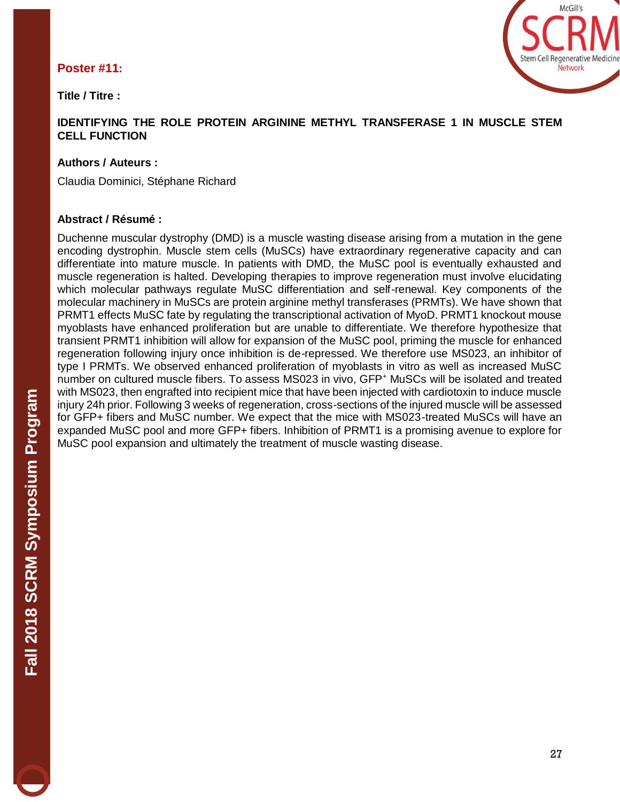# **Poster #11:**

**Title / Titre :** 



#### **IDENTIFYING THE ROLE PROTEIN ARGININE METHYL TRANSFERASE 1 IN MUSCLE STEM CELL FUNCTION**

# **Authors / Auteurs :**

Claudia Dominici, Stéphane Richard

#### **Abstract / Résumé :**

Duchenne muscular dystrophy (DMD) is a muscle wasting disease arising from a mutation in the gene encoding dystrophin. Muscle stem cells (MuSCs) have extraordinary regenerative capacity and can differentiate into mature muscle. In patients with DMD, the MuSC pool is eventually exhausted and muscle regeneration is halted. Developing therapies to improve regeneration must involve elucidating which molecular pathways regulate MuSC differentiation and self-renewal. Key components of the molecular machinery in MuSCs are protein arginine methyl transferases (PRMTs). We have shown that PRMT1 effects MuSC fate by regulating the transcriptional activation of MyoD. PRMT1 knockout mouse myoblasts have enhanced proliferation but are unable to differentiate. We therefore hypothesize that transient PRMT1 inhibition will allow for expansion of the MuSC pool, priming the muscle for enhanced regeneration following injury once inhibition is de-repressed. We therefore use MS023, an inhibitor of type I PRMTs. We observed enhanced proliferation of myoblasts in vitro as well as increased MuSC number on cultured muscle fibers. To assess MS023 in vivo, GFP<sup>+</sup> MuSCs will be isolated and treated with MS023, then engrafted into recipient mice that have been injected with cardiotoxin to induce muscle injury 24h prior. Following 3 weeks of regeneration, cross-sections of the injured muscle will be assessed for GFP+ fibers and MuSC number. We expect that the mice with MS023-treated MuSCs will have an expanded MuSC pool and more GFP+ fibers. Inhibition of PRMT1 is a promising avenue to explore for MuSC pool expansion and ultimately the treatment of muscle wasting disease.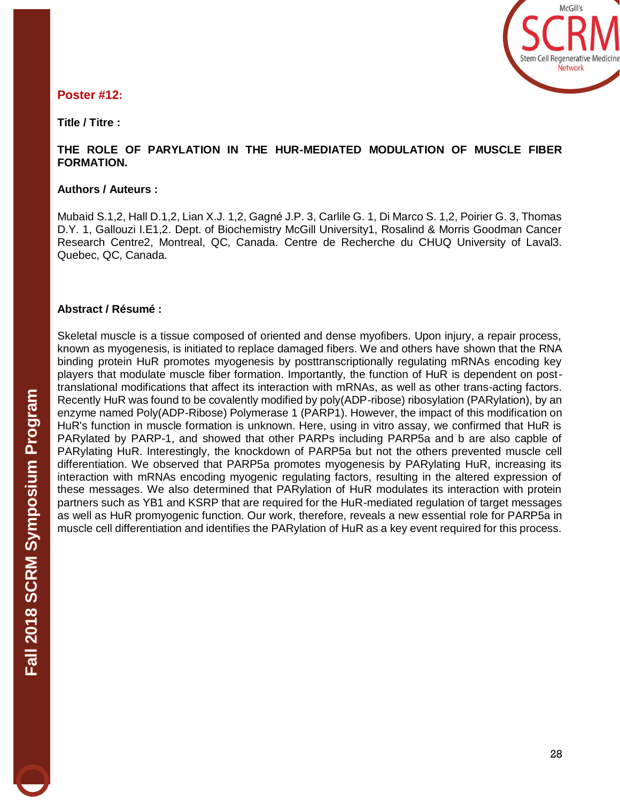

# **Poster #12:**

#### **Title / Titre :**

#### **THE ROLE OF PARYLATION IN THE HUR-MEDIATED MODULATION OF MUSCLE FIBER FORMATION.**

#### **Authors / Auteurs :**

Mubaid S.1,2, Hall D.1,2, Lian X.J. 1,2, Gagné J.P. 3, Carlile G. 1, Di Marco S. 1,2, Poirier G. 3, Thomas D.Y. 1, Gallouzi I.E1,2. Dept. of Biochemistry McGill University1, Rosalind & Morris Goodman Cancer Research Centre2, Montreal, QC, Canada. Centre de Recherche du CHUQ University of Laval3. Quebec, QC, Canada.

#### **Abstract / Résumé :**

Skeletal muscle is a tissue composed of oriented and dense myofibers. Upon injury, a repair process, known as myogenesis, is initiated to replace damaged fibers. We and others have shown that the RNA binding protein HuR promotes myogenesis by posttranscriptionally regulating mRNAs encoding key players that modulate muscle fiber formation. Importantly, the function of HuR is dependent on posttranslational modifications that affect its interaction with mRNAs, as well as other trans-acting factors. Recently HuR was found to be covalently modified by poly(ADP-ribose) ribosylation (PARylation), by an enzyme named Poly(ADP-Ribose) Polymerase 1 (PARP1). However, the impact of this modification on HuR's function in muscle formation is unknown. Here, using in vitro assay, we confirmed that HuR is PARylated by PARP-1, and showed that other PARPs including PARP5a and b are also capble of PARylating HuR. Interestingly, the knockdown of PARP5a but not the others prevented muscle cell differentiation. We observed that PARP5a promotes myogenesis by PARylating HuR, increasing its interaction with mRNAs encoding myogenic regulating factors, resulting in the altered expression of these messages. We also determined that PARylation of HuR modulates its interaction with protein partners such as YB1 and KSRP that are required for the HuR-mediated regulation of target messages as well as HuR promyogenic function. Our work, therefore, reveals a new essential role for PARP5a in muscle cell differentiation and identifies the PARylation of HuR as a key event required for this process.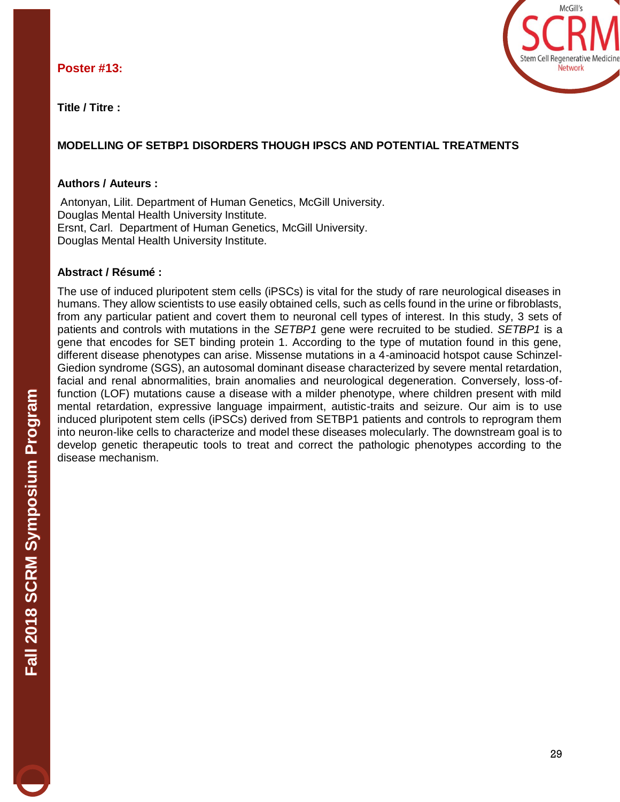#### **Poster #13:**



**Title / Titre :**

# **MODELLING OF SETBP1 DISORDERS THOUGH IPSCS AND POTENTIAL TREATMENTS**

#### **Authors / Auteurs :**

Antonyan, Lilit. Department of Human Genetics, McGill University. Douglas Mental Health University Institute. Ersnt, Carl. Department of Human Genetics, McGill University. Douglas Mental Health University Institute.

#### **Abstract / Résumé :**

The use of induced pluripotent stem cells (iPSCs) is vital for the study of rare neurological diseases in humans. They allow scientists to use easily obtained cells, such as cells found in the urine or fibroblasts, from any particular patient and covert them to neuronal cell types of interest. In this study, 3 sets of patients and controls with mutations in the *SETBP1* gene were recruited to be studied. *SETBP1* is a gene that encodes for SET binding protein 1. According to the type of mutation found in this gene, different disease phenotypes can arise. Missense mutations in a 4-aminoacid hotspot cause Schinzel-Giedion syndrome (SGS), an autosomal dominant disease characterized by severe mental retardation, facial and renal abnormalities, brain anomalies and neurological degeneration. Conversely, loss-offunction (LOF) mutations cause a disease with a milder phenotype, where children present with mild mental retardation, expressive language impairment, autistic-traits and seizure. Our aim is to use induced pluripotent stem cells (iPSCs) derived from SETBP1 patients and controls to reprogram them into neuron-like cells to characterize and model these diseases molecularly. The downstream goal is to develop genetic therapeutic tools to treat and correct the pathologic phenotypes according to the disease mechanism.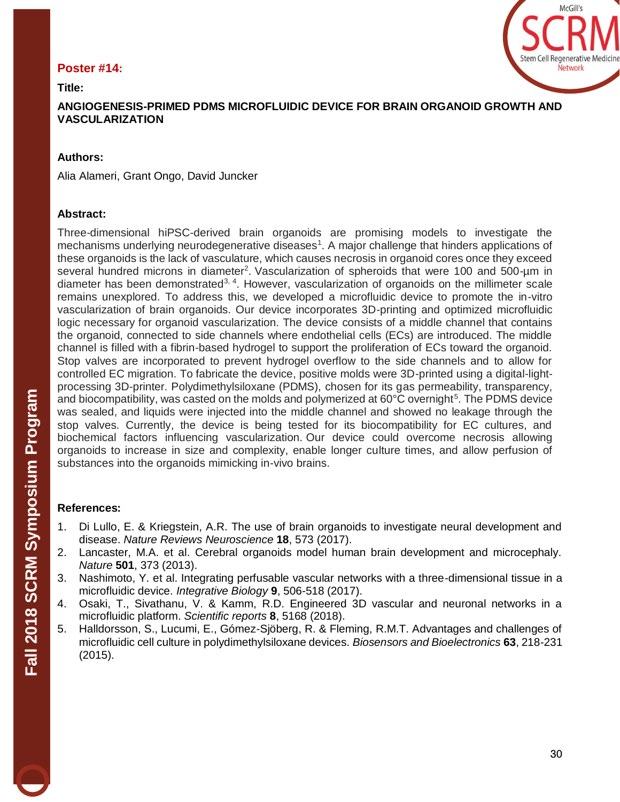#### **Poster #14:**



**Title:** 

**ANGIOGENESIS-PRIMED PDMS MICROFLUIDIC DEVICE FOR BRAIN ORGANOID GROWTH AND VASCULARIZATION** 

#### **Authors:**

Alia Alameri, Grant Ongo, David Juncker

#### **Abstract:**

Three-dimensional hiPSC-derived brain organoids are promising models to investigate the mechanisms underlying neurodegenerative diseases<sup>1</sup>. A major challenge that hinders applications of these organoids is the lack of vasculature, which causes necrosis in organoid cores once they exceed several hundred microns in diameter<sup>2</sup>. Vascularization of spheroids that were 100 and 500-µm in diameter has been demonstrated<sup>3, 4</sup>. However, vascularization of organoids on the millimeter scale remains unexplored. To address this, we developed a microfluidic device to promote the in-vitro vascularization of brain organoids. Our device incorporates 3D-printing and optimized microfluidic logic necessary for organoid vascularization. The device consists of a middle channel that contains the organoid, connected to side channels where endothelial cells (ECs) are introduced. The middle channel is filled with a fibrin-based hydrogel to support the proliferation of ECs toward the organoid. Stop valves are incorporated to prevent hydrogel overflow to the side channels and to allow for controlled EC migration. To fabricate the device, positive molds were 3D-printed using a digital-lightprocessing 3D-printer. Polydimethylsiloxane (PDMS), chosen for its gas permeability, transparency, and biocompatibility, was casted on the molds and polymerized at  $60^{\circ}$ C overnight<sup>5</sup>. The PDMS device was sealed, and liquids were injected into the middle channel and showed no leakage through the stop valves. Currently, the device is being tested for its biocompatibility for EC cultures, and biochemical factors influencing vascularization. Our device could overcome necrosis allowing organoids to increase in size and complexity, enable longer culture times, and allow perfusion of substances into the organoids mimicking in-vivo brains.

#### **References:**

- 1. Di Lullo, E. & Kriegstein, A.R. The use of brain organoids to investigate neural development and disease. *Nature Reviews Neuroscience* **18**, 573 (2017).
- 2. Lancaster, M.A. et al. Cerebral organoids model human brain development and microcephaly. *Nature* **501**, 373 (2013).
- 3. Nashimoto, Y. et al. Integrating perfusable vascular networks with a three-dimensional tissue in a microfluidic device. *Integrative Biology* **9**, 506-518 (2017).
- 4. Osaki, T., Sivathanu, V. & Kamm, R.D. Engineered 3D vascular and neuronal networks in a microfluidic platform. *Scientific reports* **8**, 5168 (2018).
- 5. Halldorsson, S., Lucumi, E., Gómez-Sjöberg, R. & Fleming, R.M.T. Advantages and challenges of microfluidic cell culture in polydimethylsiloxane devices. *Biosensors and Bioelectronics* **63**, 218-231 (2015).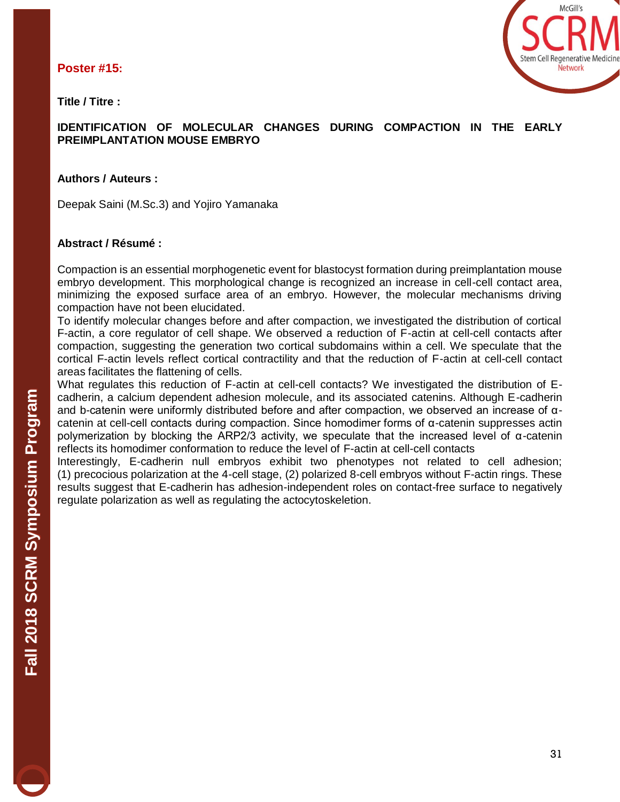**Poster #15:**



**Title / Titre :**

#### **IDENTIFICATION OF MOLECULAR CHANGES DURING COMPACTION IN THE EARLY PREIMPLANTATION MOUSE EMBRYO**

#### **Authors / Auteurs :**

Deepak Saini (M.Sc.3) and Yojiro Yamanaka

#### **Abstract / Résumé :**

Compaction is an essential morphogenetic event for blastocyst formation during preimplantation mouse embryo development. This morphological change is recognized an increase in cell-cell contact area, minimizing the exposed surface area of an embryo. However, the molecular mechanisms driving compaction have not been elucidated.

To identify molecular changes before and after compaction, we investigated the distribution of cortical F-actin, a core regulator of cell shape. We observed a reduction of F-actin at cell-cell contacts after compaction, suggesting the generation two cortical subdomains within a cell. We speculate that the cortical F-actin levels reflect cortical contractility and that the reduction of F-actin at cell-cell contact areas facilitates the flattening of cells.

What regulates this reduction of F-actin at cell-cell contacts? We investigated the distribution of Ecadherin, a calcium dependent adhesion molecule, and its associated catenins. Although E-cadherin and b-catenin were uniformly distributed before and after compaction, we observed an increase of αcatenin at cell-cell contacts during compaction. Since homodimer forms of α-catenin suppresses actin polymerization by blocking the ARP2/3 activity, we speculate that the increased level of α-catenin reflects its homodimer conformation to reduce the level of F-actin at cell-cell contacts

Interestingly, E-cadherin null embryos exhibit two phenotypes not related to cell adhesion; (1) precocious polarization at the 4-cell stage, (2) polarized 8-cell embryos without F-actin rings. These results suggest that E-cadherin has adhesion-independent roles on contact-free surface to negatively regulate polarization as well as regulating the actocytoskeletion.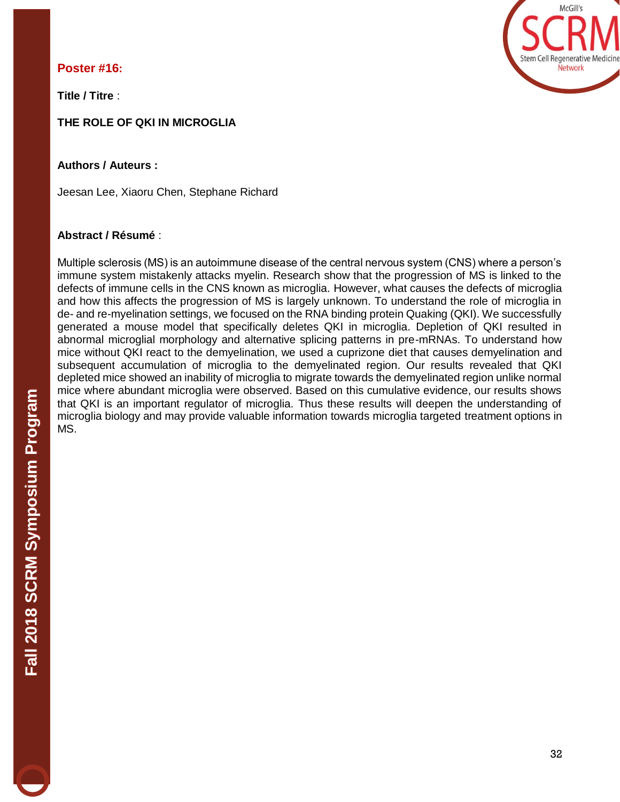# **Poster #16:**

**Title / Titre** :

# **THE ROLE OF QKI IN MICROGLIA**

**Authors / Auteurs :**

Jeesan Lee, Xiaoru Chen, Stephane Richard

# **Abstract / Résumé** :

Multiple sclerosis (MS) is an autoimmune disease of the central nervous system (CNS) where a person's immune system mistakenly attacks myelin. Research show that the progression of MS is linked to the defects of immune cells in the CNS known as microglia. However, what causes the defects of microglia and how this affects the progression of MS is largely unknown. To understand the role of microglia in de- and re-myelination settings, we focused on the RNA binding protein Quaking (QKI). We successfully generated a mouse model that specifically deletes QKI in microglia. Depletion of QKI resulted in abnormal microglial morphology and alternative splicing patterns in pre-mRNAs. To understand how mice without QKI react to the demyelination, we used a cuprizone diet that causes demyelination and subsequent accumulation of microglia to the demyelinated region. Our results revealed that QKI depleted mice showed an inability of microglia to migrate towards the demyelinated region unlike normal mice where abundant microglia were observed. Based on this cumulative evidence, our results shows that QKI is an important regulator of microglia. Thus these results will deepen the understanding of microglia biology and may provide valuable information towards microglia targeted treatment options in MS.

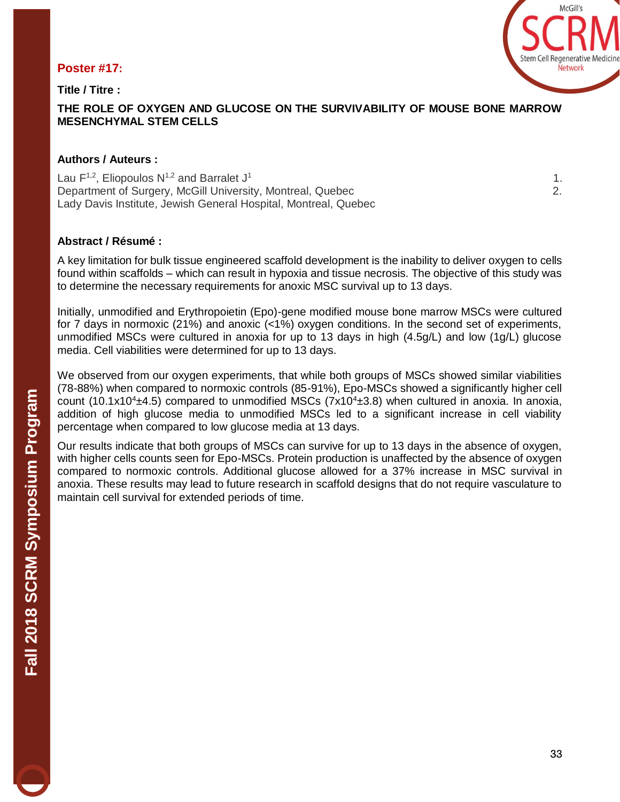#### **Poster #17:**

**Title / Titre :** 



#### **THE ROLE OF OXYGEN AND GLUCOSE ON THE SURVIVABILITY OF MOUSE BONE MARROW MESENCHYMAL STEM CELLS**

#### **Authors / Auteurs :**

Lau  $F^{1,2}$ , Eliopoulos N<sup>1,2</sup> and Barralet J<sup>1</sup>  $1.$ Department of Surgery, McGill University, Montreal, Quebec 2. Lady Davis Institute, Jewish General Hospital, Montreal, Quebec

#### **Abstract / Résumé :**

A key limitation for bulk tissue engineered scaffold development is the inability to deliver oxygen to cells found within scaffolds – which can result in hypoxia and tissue necrosis. The objective of this study was to determine the necessary requirements for anoxic MSC survival up to 13 days.

Initially, unmodified and Erythropoietin (Epo)-gene modified mouse bone marrow MSCs were cultured for 7 days in normoxic (21%) and anoxic (<1%) oxygen conditions. In the second set of experiments, unmodified MSCs were cultured in anoxia for up to 13 days in high (4.5g/L) and low (1g/L) glucose media. Cell viabilities were determined for up to 13 days.

We observed from our oxygen experiments, that while both groups of MSCs showed similar viabilities (78-88%) when compared to normoxic controls (85-91%), Epo-MSCs showed a significantly higher cell count (10.1x10<sup>4</sup> $\pm$ 4.5) compared to unmodified MSCs (7x10<sup>4</sup> $\pm$ 3.8) when cultured in anoxia. In anoxia, addition of high glucose media to unmodified MSCs led to a significant increase in cell viability percentage when compared to low glucose media at 13 days.

Our results indicate that both groups of MSCs can survive for up to 13 days in the absence of oxygen, with higher cells counts seen for Epo-MSCs. Protein production is unaffected by the absence of oxygen compared to normoxic controls. Additional glucose allowed for a 37% increase in MSC survival in anoxia. These results may lead to future research in scaffold designs that do not require vasculature to maintain cell survival for extended periods of time.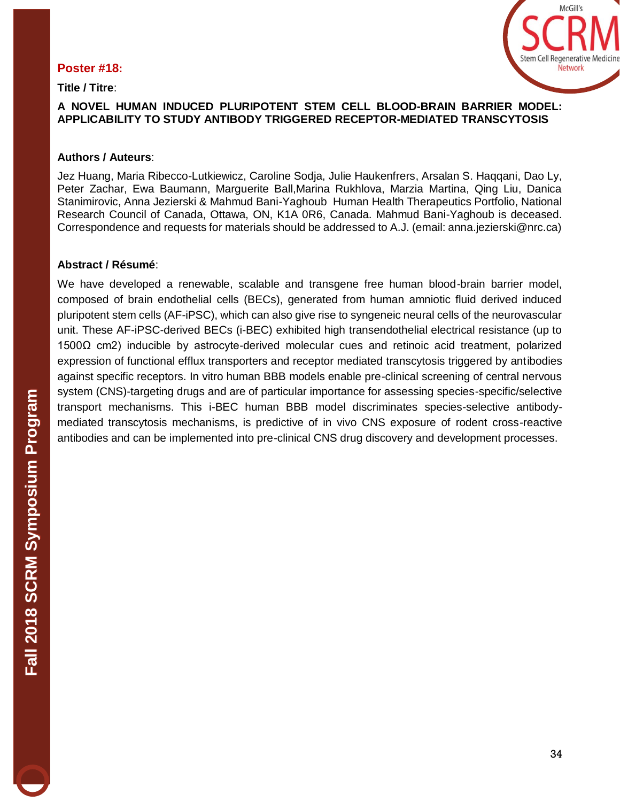#### **Poster #18:**

**Title / Titre**:



#### **A NOVEL HUMAN INDUCED PLURIPOTENT STEM CELL BLOOD-BRAIN BARRIER MODEL: APPLICABILITY TO STUDY ANTIBODY TRIGGERED RECEPTOR-MEDIATED TRANSCYTOSIS**

#### **Authors / Auteurs**:

Jez Huang, Maria Ribecco-Lutkiewicz, Caroline Sodja, Julie Haukenfrers, Arsalan S. Haqqani, Dao Ly, Peter Zachar, Ewa Baumann, Marguerite Ball,Marina Rukhlova, Marzia Martina, Qing Liu, Danica Stanimirovic, Anna Jezierski & Mahmud Bani-Yaghoub Human Health Therapeutics Portfolio, National Research Council of Canada, Ottawa, ON, K1A 0R6, Canada. Mahmud Bani-Yaghoub is deceased. Correspondence and requests for materials should be addressed to A.J. (email: anna.jezierski@nrc.ca)

#### **Abstract / Résumé**:

We have developed a renewable, scalable and transgene free human blood-brain barrier model, composed of brain endothelial cells (BECs), generated from human amniotic fluid derived induced pluripotent stem cells (AF-iPSC), which can also give rise to syngeneic neural cells of the neurovascular unit. These AF-iPSC-derived BECs (i-BEC) exhibited high transendothelial electrical resistance (up to 1500Ω cm2) inducible by astrocyte-derived molecular cues and retinoic acid treatment, polarized expression of functional efflux transporters and receptor mediated transcytosis triggered by antibodies against specific receptors. In vitro human BBB models enable pre-clinical screening of central nervous system (CNS)-targeting drugs and are of particular importance for assessing species-specific/selective transport mechanisms. This i-BEC human BBB model discriminates species-selective antibodymediated transcytosis mechanisms, is predictive of in vivo CNS exposure of rodent cross-reactive antibodies and can be implemented into pre-clinical CNS drug discovery and development processes.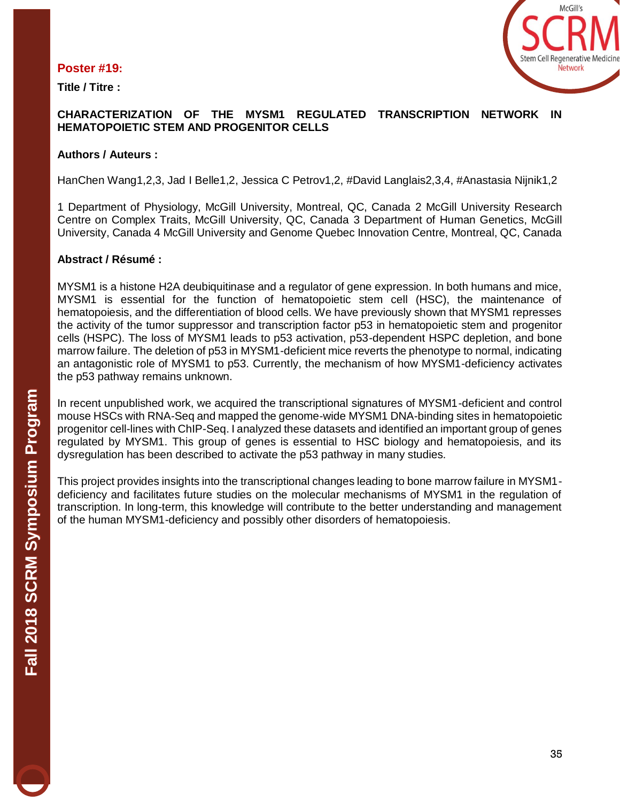#### **Poster #19:**

**Title / Titre :**



#### **CHARACTERIZATION OF THE MYSM1 REGULATED TRANSCRIPTION NETWORK IN HEMATOPOIETIC STEM AND PROGENITOR CELLS**

#### **Authors / Auteurs :**

HanChen Wang1,2,3, Jad I Belle1,2, Jessica C Petrov1,2, #David Langlais2,3,4, #Anastasia Nijnik1,2

1 Department of Physiology, McGill University, Montreal, QC, Canada 2 McGill University Research Centre on Complex Traits, McGill University, QC, Canada 3 Department of Human Genetics, McGill University, Canada 4 McGill University and Genome Quebec Innovation Centre, Montreal, QC, Canada

#### **Abstract / Résumé :**

MYSM1 is a histone H2A deubiquitinase and a regulator of gene expression. In both humans and mice, MYSM1 is essential for the function of hematopoietic stem cell (HSC), the maintenance of hematopoiesis, and the differentiation of blood cells. We have previously shown that MYSM1 represses the activity of the tumor suppressor and transcription factor p53 in hematopoietic stem and progenitor cells (HSPC). The loss of MYSM1 leads to p53 activation, p53-dependent HSPC depletion, and bone marrow failure. The deletion of p53 in MYSM1-deficient mice reverts the phenotype to normal, indicating an antagonistic role of MYSM1 to p53. Currently, the mechanism of how MYSM1-deficiency activates the p53 pathway remains unknown.

In recent unpublished work, we acquired the transcriptional signatures of MYSM1-deficient and control mouse HSCs with RNA-Seq and mapped the genome-wide MYSM1 DNA-binding sites in hematopoietic progenitor cell-lines with ChIP-Seq. I analyzed these datasets and identified an important group of genes regulated by MYSM1. This group of genes is essential to HSC biology and hematopoiesis, and its dysregulation has been described to activate the p53 pathway in many studies.

This project provides insights into the transcriptional changes leading to bone marrow failure in MYSM1 deficiency and facilitates future studies on the molecular mechanisms of MYSM1 in the regulation of transcription. In long-term, this knowledge will contribute to the better understanding and management of the human MYSM1-deficiency and possibly other disorders of hematopoiesis.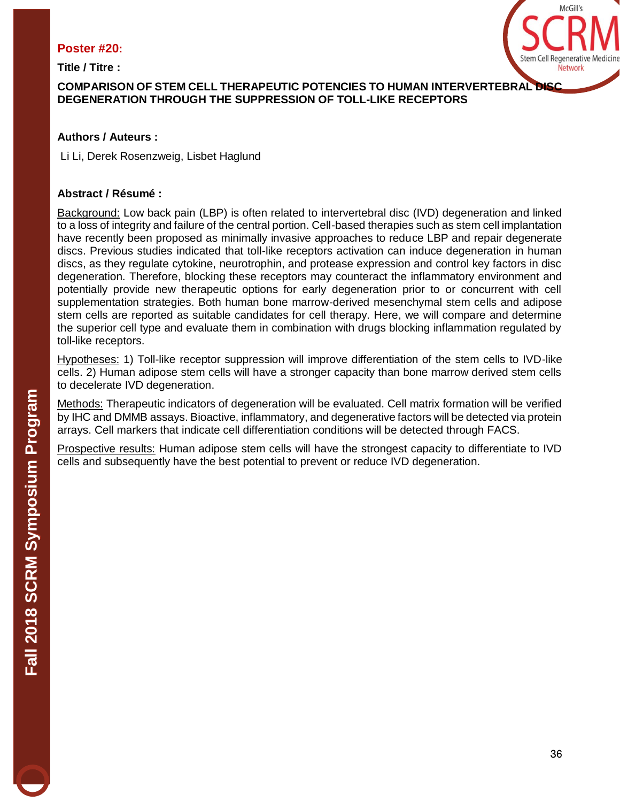#### **Poster #20:**

**Title / Titre :** 



# **COMPARISON OF STEM CELL THERAPEUTIC POTENCIES TO HUMAN INTERVERTEBRAL DISC DEGENERATION THROUGH THE SUPPRESSION OF TOLL-LIKE RECEPTORS**

# **Authors / Auteurs :**

Li Li, Derek Rosenzweig, Lisbet Haglund

# **Abstract / Résumé :**

Background: Low back pain (LBP) is often related to intervertebral disc (IVD) degeneration and linked to a loss of integrity and failure of the central portion. Cell-based therapies such as stem cell implantation have recently been proposed as minimally invasive approaches to reduce LBP and repair degenerate discs. Previous studies indicated that toll-like receptors activation can induce degeneration in human discs, as they regulate cytokine, neurotrophin, and protease expression and control key factors in disc degeneration. Therefore, blocking these receptors may counteract the inflammatory environment and potentially provide new therapeutic options for early degeneration prior to or concurrent with cell supplementation strategies. Both human bone marrow-derived mesenchymal stem cells and adipose stem cells are reported as suitable candidates for cell therapy. Here, we will compare and determine the superior cell type and evaluate them in combination with drugs blocking inflammation regulated by toll-like receptors.

Hypotheses: 1) Toll-like receptor suppression will improve differentiation of the stem cells to IVD-like cells. 2) Human adipose stem cells will have a stronger capacity than bone marrow derived stem cells to decelerate IVD degeneration.

Methods: Therapeutic indicators of degeneration will be evaluated. Cell matrix formation will be verified by IHC and DMMB assays. Bioactive, inflammatory, and degenerative factors will be detected via protein arrays. Cell markers that indicate cell differentiation conditions will be detected through FACS.

Prospective results: Human adipose stem cells will have the strongest capacity to differentiate to IVD cells and subsequently have the best potential to prevent or reduce IVD degeneration.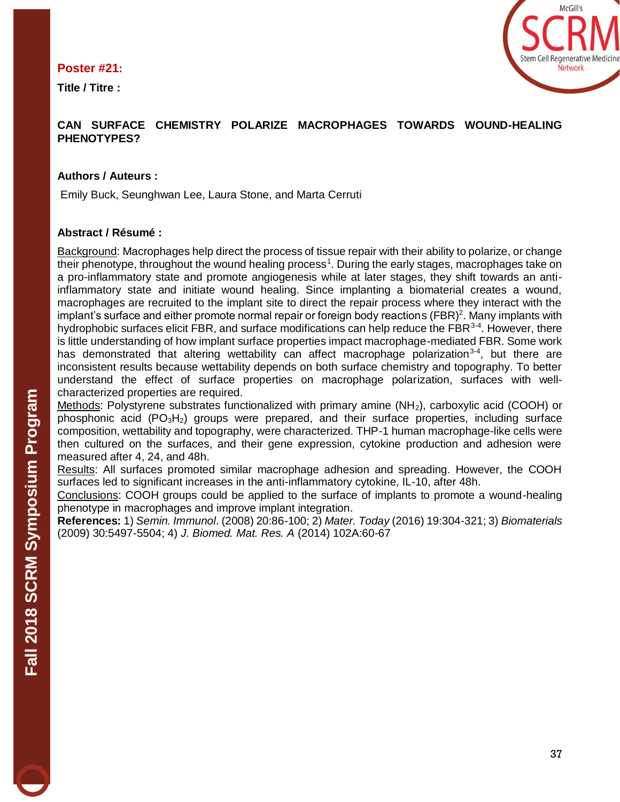#### **Poster #21:**

**Title / Titre :** 



#### **CAN SURFACE CHEMISTRY POLARIZE MACROPHAGES TOWARDS WOUND-HEALING PHENOTYPES?**

#### **Authors / Auteurs :**

Emily Buck, Seunghwan Lee, Laura Stone, and Marta Cerruti

#### **Abstract / Résumé :**

Background: Macrophages help direct the process of tissue repair with their ability to polarize, or change their phenotype, throughout the wound healing process<sup>1</sup>. During the early stages, macrophages take on a pro-inflammatory state and promote angiogenesis while at later stages, they shift towards an antiinflammatory state and initiate wound healing. Since implanting a biomaterial creates a wound, macrophages are recruited to the implant site to direct the repair process where they interact with the implant's surface and either promote normal repair or foreign body reactions (FBR)<sup>2</sup>. Many implants with hydrophobic surfaces elicit FBR, and surface modifications can help reduce the FBR<sup>3-4</sup>. However, there is little understanding of how implant surface properties impact macrophage-mediated FBR. Some work has demonstrated that altering wettability can affect macrophage polarization<sup>3-4</sup>, but there are inconsistent results because wettability depends on both surface chemistry and topography. To better understand the effect of surface properties on macrophage polarization, surfaces with wellcharacterized properties are required.

Methods: Polystyrene substrates functionalized with primary amine (NH<sub>2</sub>), carboxylic acid (COOH) or phosphonic acid  $(PO_3H_2)$  groups were prepared, and their surface properties, including surface composition, wettability and topography, were characterized. THP-1 human macrophage-like cells were then cultured on the surfaces, and their gene expression, cytokine production and adhesion were measured after 4, 24, and 48h.

Results: All surfaces promoted similar macrophage adhesion and spreading. However, the COOH surfaces led to significant increases in the anti-inflammatory cytokine, IL-10, after 48h.

Conclusions: COOH groups could be applied to the surface of implants to promote a wound-healing phenotype in macrophages and improve implant integration.

**References:** 1) *Semin. Immunol*. (2008) 20:86-100; 2) *Mater. Today* (2016) 19:304-321; 3) *Biomaterials* (2009) 30:5497-5504; 4) *J. Biomed. Mat. Res. A* (2014) 102A:60-67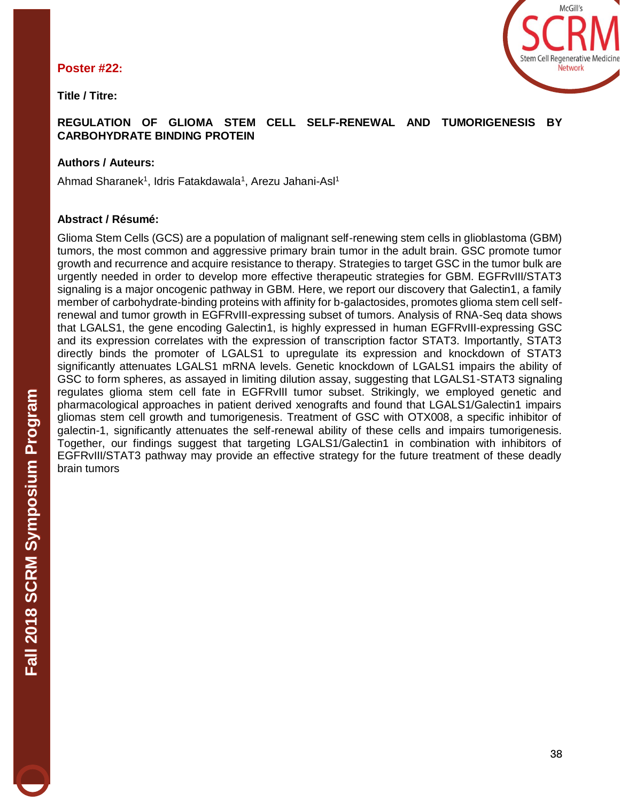#### **Poster #22:**

**Title / Titre:** 



# **REGULATION OF GLIOMA STEM CELL SELF-RENEWAL AND TUMORIGENESIS BY CARBOHYDRATE BINDING PROTEIN**

# **Authors / Auteurs:**

Ahmad Sharanek<sup>1</sup>, Idris Fatakdawala<sup>1</sup>, Arezu Jahani-Asl<sup>1</sup>

# **Abstract / Résumé:**

Glioma Stem Cells (GCS) are a population of malignant self-renewing stem cells in glioblastoma (GBM) tumors, the most common and aggressive primary brain tumor in the adult brain. GSC promote tumor growth and recurrence and acquire resistance to therapy. Strategies to target GSC in the tumor bulk are urgently needed in order to develop more effective therapeutic strategies for GBM. EGFRvIII/STAT3 signaling is a major oncogenic pathway in GBM. Here, we report our discovery that Galectin1, a family member of carbohydrate-binding proteins with affinity for b-galactosides, promotes glioma stem cell selfrenewal and tumor growth in EGFRvIII-expressing subset of tumors. Analysis of RNA-Seq data shows that LGALS1, the gene encoding Galectin1, is highly expressed in human EGFRvIII-expressing GSC and its expression correlates with the expression of transcription factor STAT3. Importantly, STAT3 directly binds the promoter of LGALS1 to upregulate its expression and knockdown of STAT3 significantly attenuates LGALS1 mRNA levels. Genetic knockdown of LGALS1 impairs the ability of GSC to form spheres, as assayed in limiting dilution assay, suggesting that LGALS1-STAT3 signaling regulates glioma stem cell fate in EGFRvIII tumor subset. Strikingly, we employed genetic and pharmacological approaches in patient derived xenografts and found that LGALS1/Galectin1 impairs gliomas stem cell growth and tumorigenesis. Treatment of GSC with OTX008, a specific inhibitor of galectin-1, significantly attenuates the self-renewal ability of these cells and impairs tumorigenesis. Together, our findings suggest that targeting LGALS1/Galectin1 in combination with inhibitors of EGFRvIII/STAT3 pathway may provide an effective strategy for the future treatment of these deadly brain tumors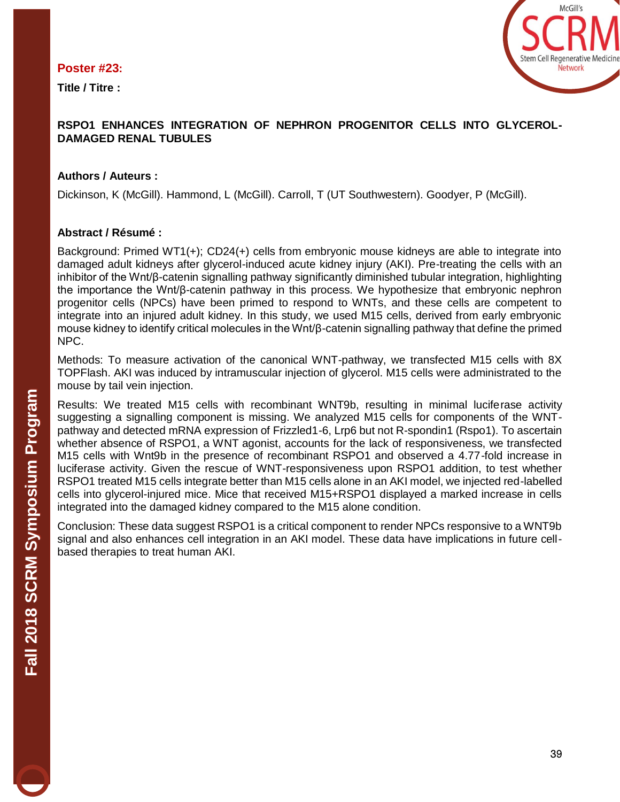#### **Poster #23:**

**Title / Titre :** 



#### **RSPO1 ENHANCES INTEGRATION OF NEPHRON PROGENITOR CELLS INTO GLYCEROL-DAMAGED RENAL TUBULES**

#### **Authors / Auteurs :**

Dickinson, K (McGill). Hammond, L (McGill). Carroll, T (UT Southwestern). Goodyer, P (McGill).

#### **Abstract / Résumé :**

Background: Primed WT1(+); CD24(+) cells from embryonic mouse kidneys are able to integrate into damaged adult kidneys after glycerol-induced acute kidney injury (AKI). Pre-treating the cells with an inhibitor of the Wnt/β-catenin signalling pathway significantly diminished tubular integration, highlighting the importance the Wnt/β-catenin pathway in this process. We hypothesize that embryonic nephron progenitor cells (NPCs) have been primed to respond to WNTs, and these cells are competent to integrate into an injured adult kidney. In this study, we used M15 cells, derived from early embryonic mouse kidney to identify critical molecules in the Wnt/β-catenin signalling pathway that define the primed NPC.

Methods: To measure activation of the canonical WNT-pathway, we transfected M15 cells with 8X TOPFlash. AKI was induced by intramuscular injection of glycerol. M15 cells were administrated to the mouse by tail vein injection.

Results: We treated M15 cells with recombinant WNT9b, resulting in minimal luciferase activity suggesting a signalling component is missing. We analyzed M15 cells for components of the WNTpathway and detected mRNA expression of Frizzled1-6, Lrp6 but not R-spondin1 (Rspo1). To ascertain whether absence of RSPO1, a WNT agonist, accounts for the lack of responsiveness, we transfected M15 cells with Wnt9b in the presence of recombinant RSPO1 and observed a 4.77-fold increase in luciferase activity. Given the rescue of WNT-responsiveness upon RSPO1 addition, to test whether RSPO1 treated M15 cells integrate better than M15 cells alone in an AKI model, we injected red-labelled cells into glycerol-injured mice. Mice that received M15+RSPO1 displayed a marked increase in cells integrated into the damaged kidney compared to the M15 alone condition.

Conclusion: These data suggest RSPO1 is a critical component to render NPCs responsive to a WNT9b signal and also enhances cell integration in an AKI model. These data have implications in future cellbased therapies to treat human AKI.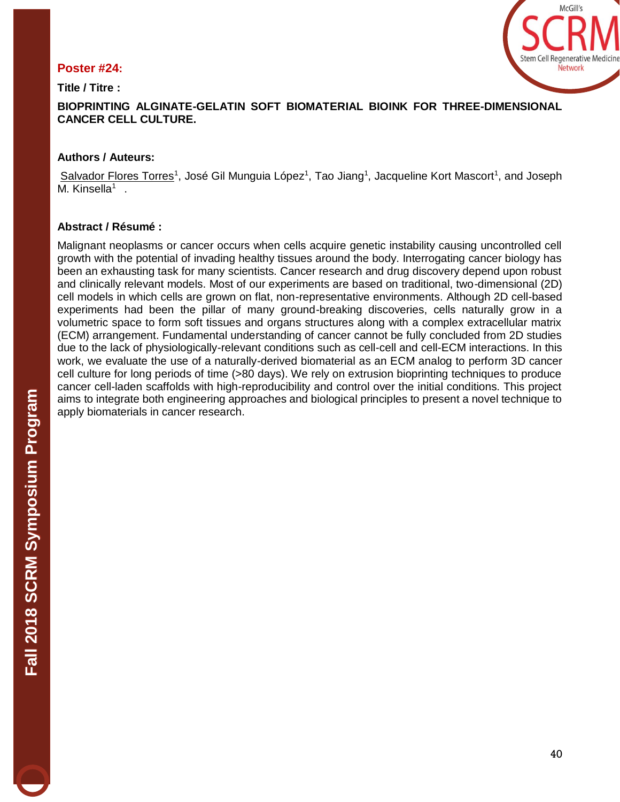### **Poster #24:**

**Title / Titre :** 



**BIOPRINTING ALGINATE-GELATIN SOFT BIOMATERIAL BIOINK FOR THREE-DIMENSIONAL CANCER CELL CULTURE.** 

#### **Authors / Auteurs:**

Salvador Flores Torres<sup>1</sup>, José Gil Munguia López<sup>1</sup>, Tao Jiang<sup>1</sup>, Jacqueline Kort Mascort<sup>1</sup>, and Joseph M. Kinsella<sup>1</sup>.

#### **Abstract / Résumé :**

Malignant neoplasms or cancer occurs when cells acquire genetic instability causing uncontrolled cell growth with the potential of invading healthy tissues around the body. Interrogating cancer biology has been an exhausting task for many scientists. Cancer research and drug discovery depend upon robust and clinically relevant models. Most of our experiments are based on traditional, two-dimensional (2D) cell models in which cells are grown on flat, non-representative environments. Although 2D cell-based experiments had been the pillar of many ground-breaking discoveries, cells naturally grow in a volumetric space to form soft tissues and organs structures along with a complex extracellular matrix (ECM) arrangement. Fundamental understanding of cancer cannot be fully concluded from 2D studies due to the lack of physiologically-relevant conditions such as cell-cell and cell-ECM interactions. In this work, we evaluate the use of a naturally-derived biomaterial as an ECM analog to perform 3D cancer cell culture for long periods of time (>80 days). We rely on extrusion bioprinting techniques to produce cancer cell-laden scaffolds with high-reproducibility and control over the initial conditions. This project aims to integrate both engineering approaches and biological principles to present a novel technique to apply biomaterials in cancer research.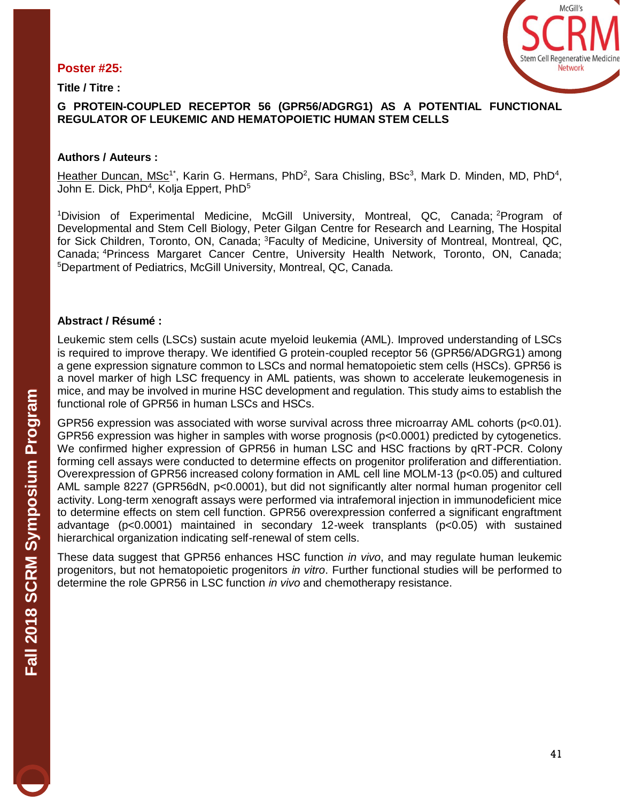#### **Poster #25:**

**Title / Titre :** 



#### **G PROTEIN-COUPLED RECEPTOR 56 (GPR56/ADGRG1) AS A POTENTIAL FUNCTIONAL REGULATOR OF LEUKEMIC AND HEMATOPOIETIC HUMAN STEM CELLS**

#### **Authors / Auteurs :**

[Heather Duncan, MSc](mailto:heather.duncan@mail.mcgill.ca)<sup>1\*</sup>, Karin G. Hermans, PhD<sup>2</sup>, Sara Chisling, BSc<sup>3</sup>, Mark D. Minden, MD, PhD<sup>4</sup>, John E. Dick, PhD<sup>4</sup>, Kolja Eppert, PhD<sup>5</sup>

<sup>1</sup>Division of Experimental Medicine, McGill University, Montreal, QC, Canada; <sup>2</sup>Program of Developmental and Stem Cell Biology, Peter Gilgan Centre for Research and Learning, The Hospital for Sick Children, Toronto, ON, Canada; <sup>3</sup>Faculty of Medicine, University of Montreal, Montreal, QC, Canada; <sup>4</sup>Princess Margaret Cancer Centre, University Health Network, Toronto, ON, Canada; <sup>5</sup>Department of Pediatrics, McGill University, Montreal, QC, Canada.

#### **Abstract / Résumé :**

Leukemic stem cells (LSCs) sustain acute myeloid leukemia (AML). Improved understanding of LSCs is required to improve therapy. We identified G protein-coupled receptor 56 (GPR56/ADGRG1) among a gene expression signature common to LSCs and normal hematopoietic stem cells (HSCs). GPR56 is a novel marker of high LSC frequency in AML patients, was shown to accelerate leukemogenesis in mice, and may be involved in murine HSC development and regulation. This study aims to establish the functional role of GPR56 in human LSCs and HSCs.

GPR56 expression was associated with worse survival across three microarray AML cohorts (p<0.01). GPR56 expression was higher in samples with worse prognosis (p<0.0001) predicted by cytogenetics. We confirmed higher expression of GPR56 in human LSC and HSC fractions by qRT-PCR. Colony forming cell assays were conducted to determine effects on progenitor proliferation and differentiation. Overexpression of GPR56 increased colony formation in AML cell line MOLM-13 (p<0.05) and cultured AML sample 8227 (GPR56dN, p<0.0001), but did not significantly alter normal human progenitor cell activity. Long-term xenograft assays were performed via intrafemoral injection in immunodeficient mice to determine effects on stem cell function. GPR56 overexpression conferred a significant engraftment advantage (p<0.0001) maintained in secondary 12-week transplants (p<0.05) with sustained hierarchical organization indicating self-renewal of stem cells.

These data suggest that GPR56 enhances HSC function *in vivo*, and may regulate human leukemic progenitors, but not hematopoietic progenitors *in vitro*. Further functional studies will be performed to determine the role GPR56 in LSC function *in vivo* and chemotherapy resistance.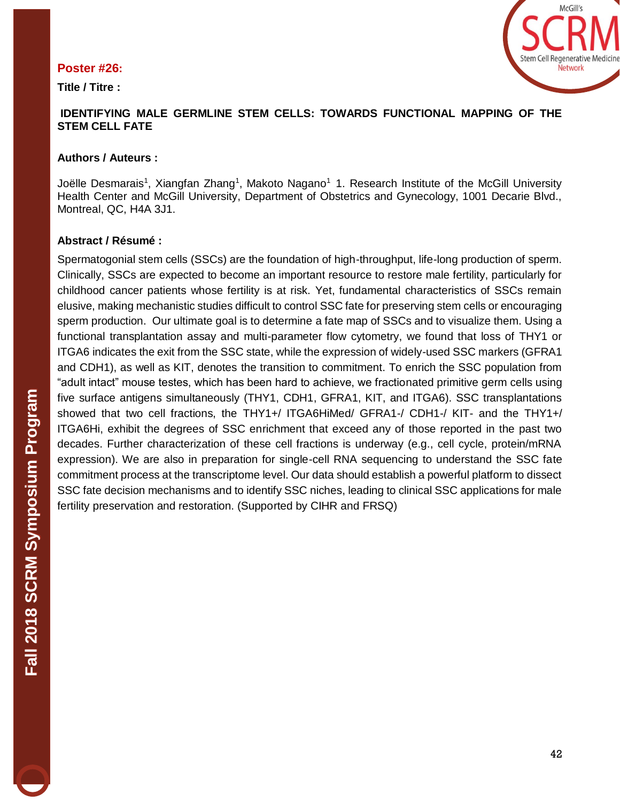#### **Poster #26:**

**Title / Titre :**



#### **IDENTIFYING MALE GERMLINE STEM CELLS: TOWARDS FUNCTIONAL MAPPING OF THE STEM CELL FATE**

#### **Authors / Auteurs :**

Joëlle Desmarais<sup>1</sup>, Xiangfan Zhang<sup>1</sup>, Makoto Nagano<sup>1</sup> 1. Research Institute of the McGill University Health Center and McGill University, Department of Obstetrics and Gynecology, 1001 Decarie Blvd., Montreal, QC, H4A 3J1.

#### **Abstract / Résumé :**

Spermatogonial stem cells (SSCs) are the foundation of high-throughput, life-long production of sperm. Clinically, SSCs are expected to become an important resource to restore male fertility, particularly for childhood cancer patients whose fertility is at risk. Yet, fundamental characteristics of SSCs remain elusive, making mechanistic studies difficult to control SSC fate for preserving stem cells or encouraging sperm production. Our ultimate goal is to determine a fate map of SSCs and to visualize them. Using a functional transplantation assay and multi-parameter flow cytometry, we found that loss of THY1 or ITGA6 indicates the exit from the SSC state, while the expression of widely-used SSC markers (GFRA1 and CDH1), as well as KIT, denotes the transition to commitment. To enrich the SSC population from "adult intact" mouse testes, which has been hard to achieve, we fractionated primitive germ cells using five surface antigens simultaneously (THY1, CDH1, GFRA1, KIT, and ITGA6). SSC transplantations showed that two cell fractions, the THY1+/ ITGA6HiMed/ GFRA1-/ CDH1-/ KIT- and the THY1+/ ITGA6Hi, exhibit the degrees of SSC enrichment that exceed any of those reported in the past two decades. Further characterization of these cell fractions is underway (e.g., cell cycle, protein/mRNA expression). We are also in preparation for single-cell RNA sequencing to understand the SSC fate commitment process at the transcriptome level. Our data should establish a powerful platform to dissect SSC fate decision mechanisms and to identify SSC niches, leading to clinical SSC applications for male fertility preservation and restoration. (Supported by CIHR and FRSQ)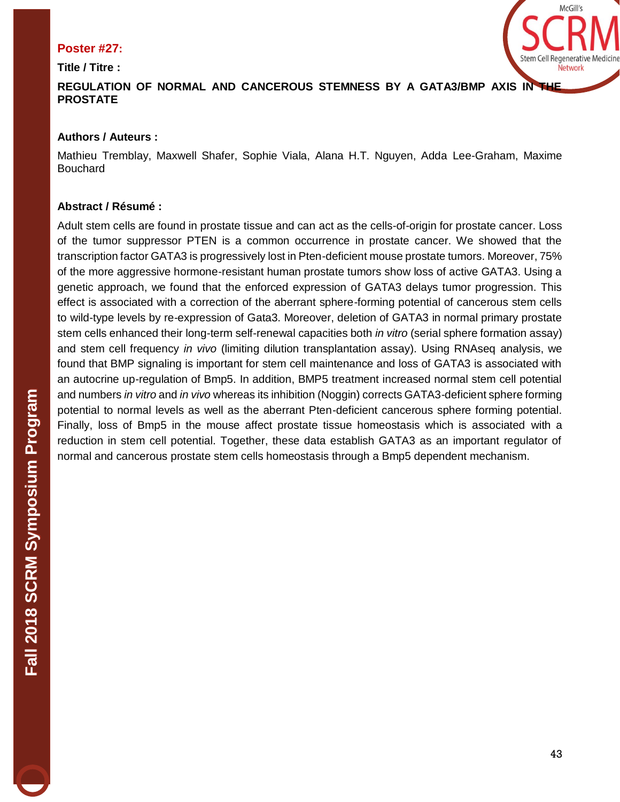#### **Poster #27:**

**Title / Titre :**



# **REGULATION OF NORMAL AND CANCEROUS STEMNESS BY A GATA3/BMP AXIS IN THE PROSTATE**

# **Authors / Auteurs :**

Mathieu Tremblay, Maxwell Shafer, Sophie Viala, Alana H.T. Nguyen, Adda Lee-Graham, Maxime Bouchard

# **Abstract / Résumé :**

Adult stem cells are found in prostate tissue and can act as the cells-of-origin for prostate cancer. Loss of the tumor suppressor PTEN is a common occurrence in prostate cancer. We showed that the transcription factor GATA3 is progressively lost in Pten-deficient mouse prostate tumors. Moreover, 75% of the more aggressive hormone-resistant human prostate tumors show loss of active GATA3. Using a genetic approach, we found that the enforced expression of GATA3 delays tumor progression. This effect is associated with a correction of the aberrant sphere-forming potential of cancerous stem cells to wild-type levels by re-expression of Gata3. Moreover, deletion of GATA3 in normal primary prostate stem cells enhanced their long-term self-renewal capacities both *in vitro* (serial sphere formation assay) and stem cell frequency *in vivo* (limiting dilution transplantation assay). Using RNAseq analysis, we found that BMP signaling is important for stem cell maintenance and loss of GATA3 is associated with an autocrine up-regulation of Bmp5. In addition, BMP5 treatment increased normal stem cell potential and numbers *in vitro* and *in vivo* whereas its inhibition (Noggin) corrects GATA3-deficient sphere forming potential to normal levels as well as the aberrant Pten-deficient cancerous sphere forming potential. Finally, loss of Bmp5 in the mouse affect prostate tissue homeostasis which is associated with a reduction in stem cell potential. Together, these data establish GATA3 as an important regulator of normal and cancerous prostate stem cells homeostasis through a Bmp5 dependent mechanism.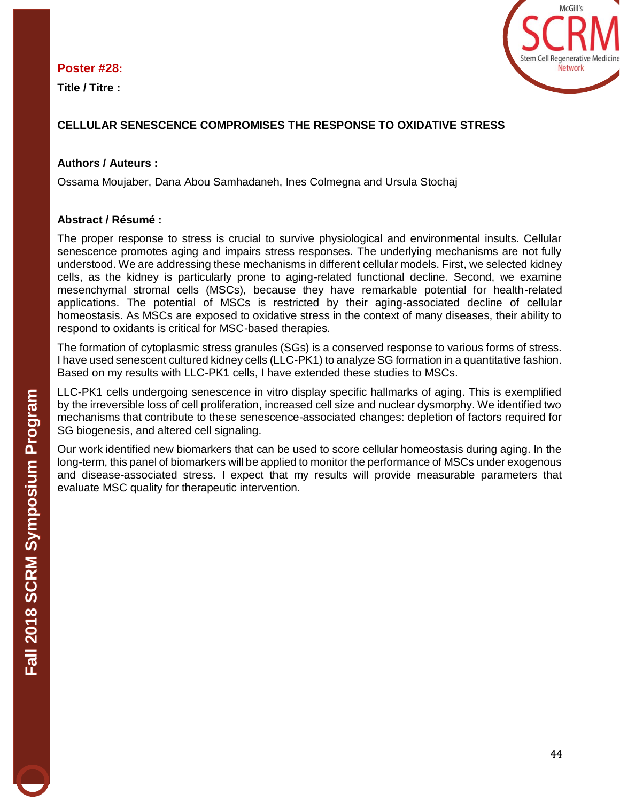#### **Poster #28:**

**Title / Titre :** 



# **CELLULAR SENESCENCE COMPROMISES THE RESPONSE TO OXIDATIVE STRESS**

#### **Authors / Auteurs :**

Ossama Moujaber, Dana Abou Samhadaneh, Ines Colmegna and Ursula Stochaj

# **Abstract / Résumé :**

The proper response to stress is crucial to survive physiological and environmental insults. Cellular senescence promotes aging and impairs stress responses. The underlying mechanisms are not fully understood. We are addressing these mechanisms in different cellular models. First, we selected kidney cells, as the kidney is particularly prone to aging-related functional decline. Second, we examine mesenchymal stromal cells (MSCs), because they have remarkable potential for health-related applications. The potential of MSCs is restricted by their aging-associated decline of cellular homeostasis. As MSCs are exposed to oxidative stress in the context of many diseases, their ability to respond to oxidants is critical for MSC-based therapies.

The formation of cytoplasmic stress granules (SGs) is a conserved response to various forms of stress. I have used senescent cultured kidney cells (LLC-PK1) to analyze SG formation in a quantitative fashion. Based on my results with LLC-PK1 cells, I have extended these studies to MSCs.

LLC-PK1 cells undergoing senescence in vitro display specific hallmarks of aging. This is exemplified by the irreversible loss of cell proliferation, increased cell size and nuclear dysmorphy. We identified two mechanisms that contribute to these senescence-associated changes: depletion of factors required for SG biogenesis, and altered cell signaling.

Our work identified new biomarkers that can be used to score cellular homeostasis during aging. In the long-term, this panel of biomarkers will be applied to monitor the performance of MSCs under exogenous and disease-associated stress. I expect that my results will provide measurable parameters that evaluate MSC quality for therapeutic intervention.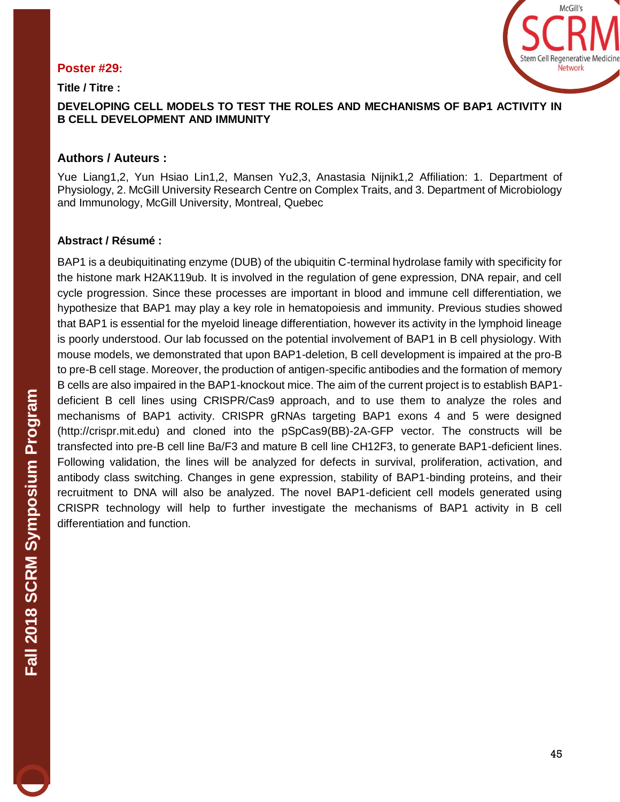# **Poster #29: Title / Titre :**



**DEVELOPING CELL MODELS TO TEST THE ROLES AND MECHANISMS OF BAP1 ACTIVITY IN B CELL DEVELOPMENT AND IMMUNITY**

#### **Authors / Auteurs :**

Yue Liang1,2, Yun Hsiao Lin1,2, Mansen Yu2,3, Anastasia Nijnik1,2 Affiliation: 1. Department of Physiology, 2. McGill University Research Centre on Complex Traits, and 3. Department of Microbiology and Immunology, McGill University, Montreal, Quebec

#### **Abstract / Résumé :**

BAP1 is a deubiquitinating enzyme (DUB) of the ubiquitin C-terminal hydrolase family with specificity for the histone mark H2AK119ub. It is involved in the regulation of gene expression, DNA repair, and cell cycle progression. Since these processes are important in blood and immune cell differentiation, we hypothesize that BAP1 may play a key role in hematopoiesis and immunity. Previous studies showed that BAP1 is essential for the myeloid lineage differentiation, however its activity in the lymphoid lineage is poorly understood. Our lab focussed on the potential involvement of BAP1 in B cell physiology. With mouse models, we demonstrated that upon BAP1-deletion, B cell development is impaired at the pro-B to pre-B cell stage. Moreover, the production of antigen-specific antibodies and the formation of memory B cells are also impaired in the BAP1-knockout mice. The aim of the current project is to establish BAP1 deficient B cell lines using CRISPR/Cas9 approach, and to use them to analyze the roles and mechanisms of BAP1 activity. CRISPR gRNAs targeting BAP1 exons 4 and 5 were designed (http://crispr.mit.edu) and cloned into the pSpCas9(BB)-2A-GFP vector. The constructs will be transfected into pre-B cell line Ba/F3 and mature B cell line CH12F3, to generate BAP1-deficient lines. Following validation, the lines will be analyzed for defects in survival, proliferation, activation, and antibody class switching. Changes in gene expression, stability of BAP1-binding proteins, and their recruitment to DNA will also be analyzed. The novel BAP1-deficient cell models generated using CRISPR technology will help to further investigate the mechanisms of BAP1 activity in B cell differentiation and function.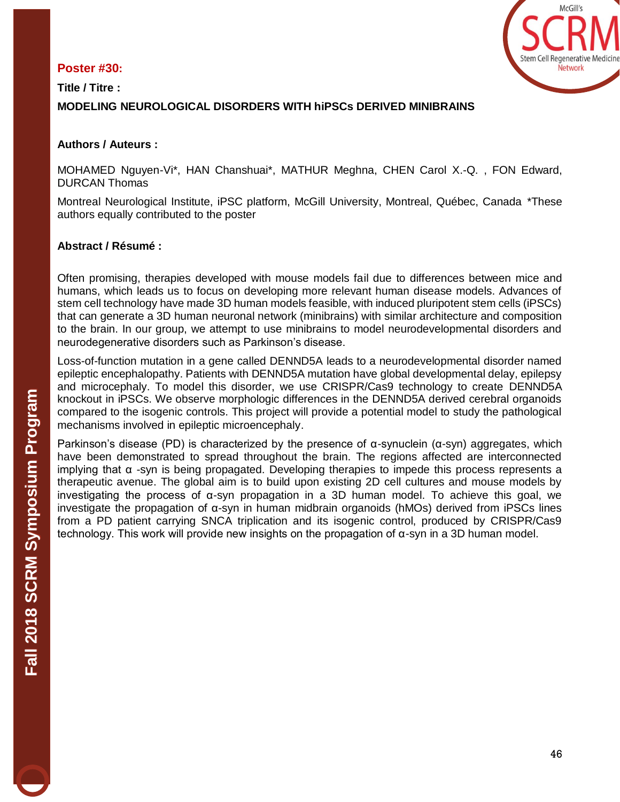# **Poster #30:**



**Title / Titre : MODELING NEUROLOGICAL DISORDERS WITH hiPSCs DERIVED MINIBRAINS**

#### **Authors / Auteurs :**

MOHAMED Nguyen-Vi\*, HAN Chanshuai\*, MATHUR Meghna, CHEN Carol X.-Q. , FON Edward, DURCAN Thomas

Montreal Neurological Institute, iPSC platform, McGill University, Montreal, Québec, Canada \*These authors equally contributed to the poster

#### **Abstract / Résumé :**

Often promising, therapies developed with mouse models fail due to differences between mice and humans, which leads us to focus on developing more relevant human disease models. Advances of stem cell technology have made 3D human models feasible, with induced pluripotent stem cells (iPSCs) that can generate a 3D human neuronal network (minibrains) with similar architecture and composition to the brain. In our group, we attempt to use minibrains to model neurodevelopmental disorders and neurodegenerative disorders such as Parkinson's disease.

Loss-of-function mutation in a gene called DENND5A leads to a neurodevelopmental disorder named epileptic encephalopathy. Patients with DENND5A mutation have global developmental delay, epilepsy and microcephaly. To model this disorder, we use CRISPR/Cas9 technology to create DENND5A knockout in iPSCs. We observe morphologic differences in the DENND5A derived cerebral organoids compared to the isogenic controls. This project will provide a potential model to study the pathological mechanisms involved in epileptic microencephaly.

Parkinson's disease (PD) is characterized by the presence of  $α$ -synuclein  $(α$ -syn) aggregates, which have been demonstrated to spread throughout the brain. The regions affected are interconnected implying that α -syn is being propagated. Developing therapies to impede this process represents a therapeutic avenue. The global aim is to build upon existing 2D cell cultures and mouse models by investigating the process of α-syn propagation in a 3D human model. To achieve this goal, we investigate the propagation of α-syn in human midbrain organoids (hMOs) derived from iPSCs lines from a PD patient carrying SNCA triplication and its isogenic control, produced by CRISPR/Cas9 technology. This work will provide new insights on the propagation of α-syn in a 3D human model.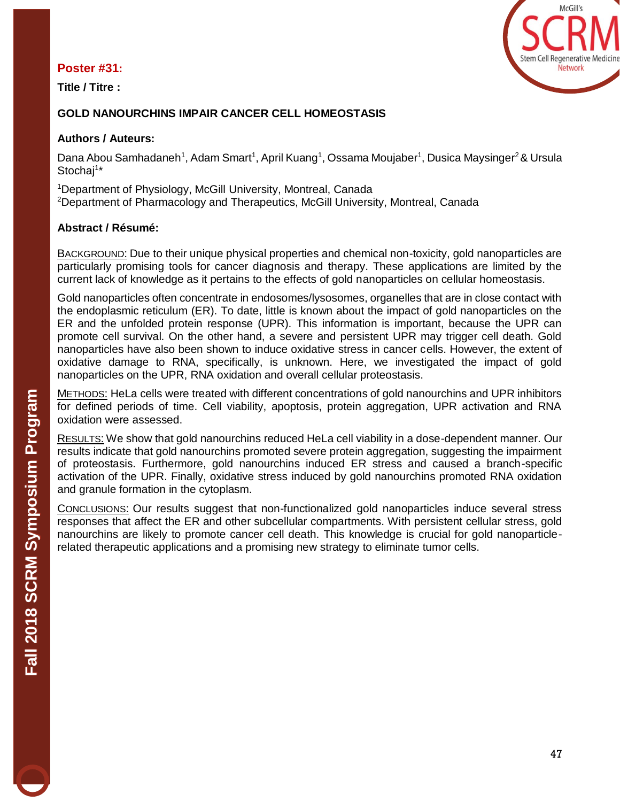#### **Poster #31:**

**Title / Titre :** 



### **GOLD NANOURCHINS IMPAIR CANCER CELL HOMEOSTASIS**

#### **Authors / Auteurs:**

Dana Abou Samhadaneh<sup>1</sup>, Adam Smart<sup>1</sup>, April Kuang<sup>1</sup>, Ossama Moujaber<sup>1</sup>, Dusica Maysinger<sup>2</sup> & Ursula Stochaj<sup>1\*</sup>

<sup>1</sup>Department of Physiology, McGill University, Montreal, Canada <sup>2</sup>Department of Pharmacology and Therapeutics, McGill University, Montreal, Canada

#### **Abstract / Résumé:**

BACKGROUND: Due to their unique physical properties and chemical non-toxicity, gold nanoparticles are particularly promising tools for cancer diagnosis and therapy. These applications are limited by the current lack of knowledge as it pertains to the effects of gold nanoparticles on cellular homeostasis.

Gold nanoparticles often concentrate in endosomes/lysosomes, organelles that are in close contact with the endoplasmic reticulum (ER). To date, little is known about the impact of gold nanoparticles on the ER and the unfolded protein response (UPR). This information is important, because the UPR can promote cell survival. On the other hand, a severe and persistent UPR may trigger cell death. Gold nanoparticles have also been shown to induce oxidative stress in cancer cells. However, the extent of oxidative damage to RNA, specifically, is unknown. Here, we investigated the impact of gold nanoparticles on the UPR, RNA oxidation and overall cellular proteostasis.

METHODS: HeLa cells were treated with different concentrations of gold nanourchins and UPR inhibitors for defined periods of time. Cell viability, apoptosis, protein aggregation, UPR activation and RNA oxidation were assessed.

RESULTS: We show that gold nanourchins reduced HeLa cell viability in a dose-dependent manner. Our results indicate that gold nanourchins promoted severe protein aggregation, suggesting the impairment of proteostasis. Furthermore, gold nanourchins induced ER stress and caused a branch-specific activation of the UPR. Finally, oxidative stress induced by gold nanourchins promoted RNA oxidation and granule formation in the cytoplasm.

CONCLUSIONS: Our results suggest that non-functionalized gold nanoparticles induce several stress responses that affect the ER and other subcellular compartments. With persistent cellular stress, gold nanourchins are likely to promote cancer cell death. This knowledge is crucial for gold nanoparticlerelated therapeutic applications and a promising new strategy to eliminate tumor cells.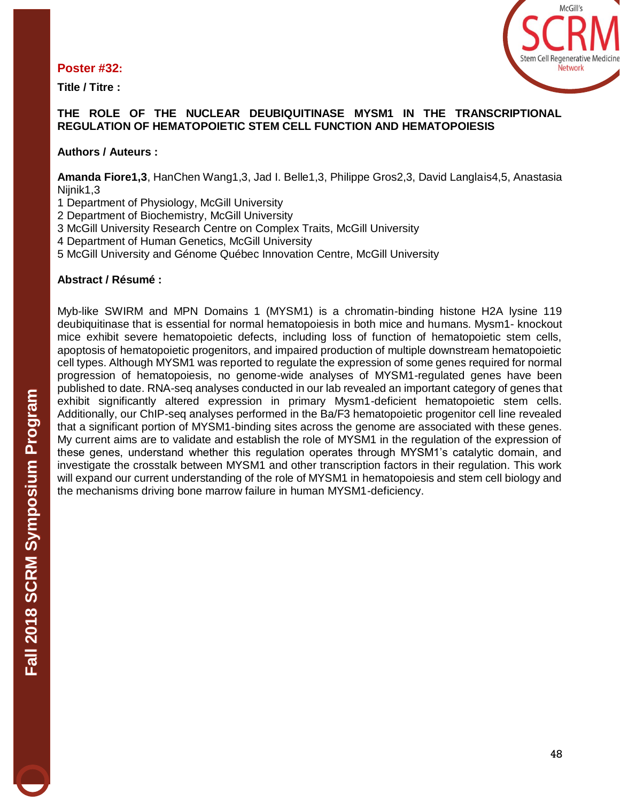#### **Poster #32:**

**Title / Titre :** 



#### **THE ROLE OF THE NUCLEAR DEUBIQUITINASE MYSM1 IN THE TRANSCRIPTIONAL REGULATION OF HEMATOPOIETIC STEM CELL FUNCTION AND HEMATOPOIESIS**

#### **Authors / Auteurs :**

**Amanda Fiore1,3**, HanChen Wang1,3, Jad I. Belle1,3, Philippe Gros2,3, David Langlais4,5, Anastasia Nijnik1,3

- 1 Department of Physiology, McGill University
- 2 Department of Biochemistry, McGill University
- 3 McGill University Research Centre on Complex Traits, McGill University
- 4 Department of Human Genetics, McGill University
- 5 McGill University and Génome Québec Innovation Centre, McGill University

#### **Abstract / Résumé :**

Myb-like SWIRM and MPN Domains 1 (MYSM1) is a chromatin-binding histone H2A lysine 119 deubiquitinase that is essential for normal hematopoiesis in both mice and humans. Mysm1- knockout mice exhibit severe hematopoietic defects, including loss of function of hematopoietic stem cells, apoptosis of hematopoietic progenitors, and impaired production of multiple downstream hematopoietic cell types. Although MYSM1 was reported to regulate the expression of some genes required for normal progression of hematopoiesis, no genome-wide analyses of MYSM1-regulated genes have been published to date. RNA-seq analyses conducted in our lab revealed an important category of genes that exhibit significantly altered expression in primary Mysm1-deficient hematopoietic stem cells. Additionally, our ChIP-seq analyses performed in the Ba/F3 hematopoietic progenitor cell line revealed that a significant portion of MYSM1-binding sites across the genome are associated with these genes. My current aims are to validate and establish the role of MYSM1 in the regulation of the expression of these genes, understand whether this regulation operates through MYSM1's catalytic domain, and investigate the crosstalk between MYSM1 and other transcription factors in their regulation. This work will expand our current understanding of the role of MYSM1 in hematopoiesis and stem cell biology and the mechanisms driving bone marrow failure in human MYSM1-deficiency.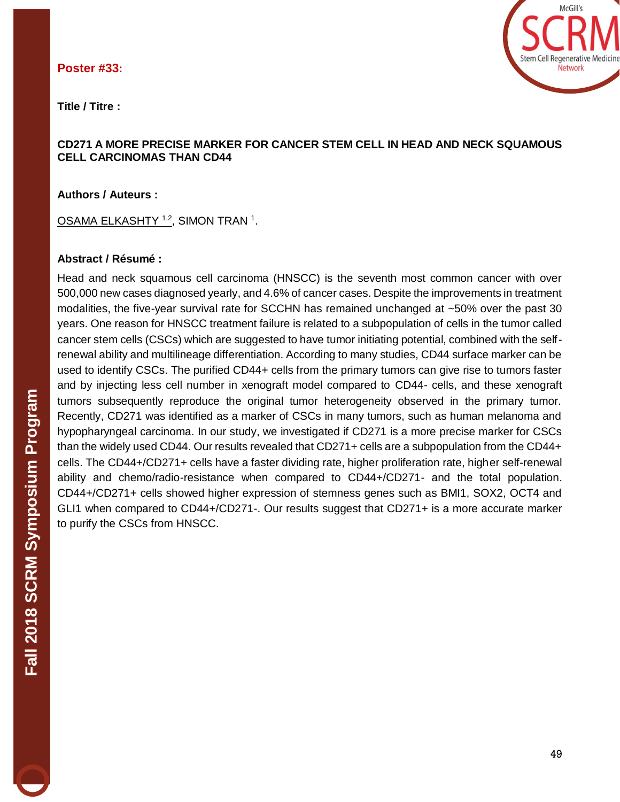#### **Poster #33:**

**Title / Titre :**



#### **CD271 A MORE PRECISE MARKER FOR CANCER STEM CELL IN HEAD AND NECK SQUAMOUS CELL CARCINOMAS THAN CD44**

**Authors / Auteurs :** 

<u>OSAMA ELKASHTY 1,2,</u> SIMON TRAN <sup>1</sup>.

#### **Abstract / Résumé :**

Head and neck squamous cell carcinoma (HNSCC) is the seventh most common cancer with over 500,000 new cases diagnosed yearly, and 4.6% of cancer cases. Despite the improvements in treatment modalities, the five-year survival rate for SCCHN has remained unchanged at ~50% over the past 30 years. One reason for HNSCC treatment failure is related to a subpopulation of cells in the tumor called cancer stem cells (CSCs) which are suggested to have tumor initiating potential, combined with the selfrenewal ability and multilineage differentiation. According to many studies, CD44 surface marker can be used to identify CSCs. The purified CD44+ cells from the primary tumors can give rise to tumors faster and by injecting less cell number in xenograft model compared to CD44- cells, and these xenograft tumors subsequently reproduce the original tumor heterogeneity observed in the primary tumor. Recently, CD271 was identified as a marker of CSCs in many tumors, such as human melanoma and hypopharyngeal carcinoma. In our study, we investigated if CD271 is a more precise marker for CSCs than the widely used CD44. Our results revealed that CD271+ cells are a subpopulation from the CD44+ cells. The CD44+/CD271+ cells have a faster dividing rate, higher proliferation rate, higher self-renewal ability and chemo/radio-resistance when compared to CD44+/CD271- and the total population. CD44+/CD271+ cells showed higher expression of stemness genes such as BMI1, SOX2, OCT4 and GLI1 when compared to CD44+/CD271-. Our results suggest that CD271+ is a more accurate marker to purify the CSCs from HNSCC.